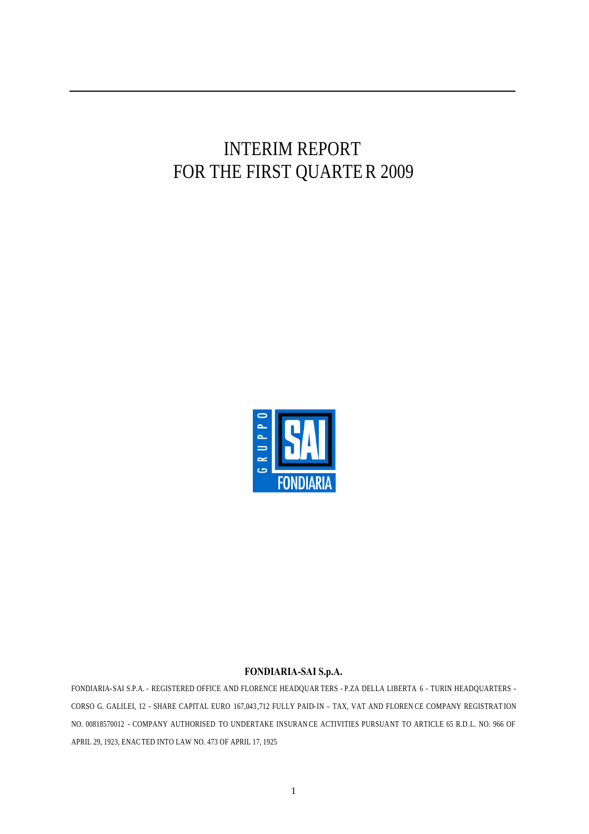# INTERIM REPORT FOR THE FIRST QUARTER 2009



#### **FONDIARIA-SAI S.p.A.**

FONDIARIA-SAI S.P.A. - REGISTERED OFFICE AND FLORENCE HEADQUAR TERS - P.ZA DELLA LIBERTA 6 - TURIN HEADQUARTERS - CORSO G. GALILEI, 12 - SHARE CAPITAL EURO 167,043 ,712 FULLY PAID-IN – TAX, VAT AND FLOREN CE COMPANY REGISTRAT ION NO. 00818570012 - COMPANY AUTHORISED TO UNDERTAKE INSURAN CE ACTIVITIES PURSUANT TO ARTICLE 65 R.D.L. NO. 966 OF APRIL 29, 1923, ENACTED INTO LAW NO. 473 OF APRIL 17, 1925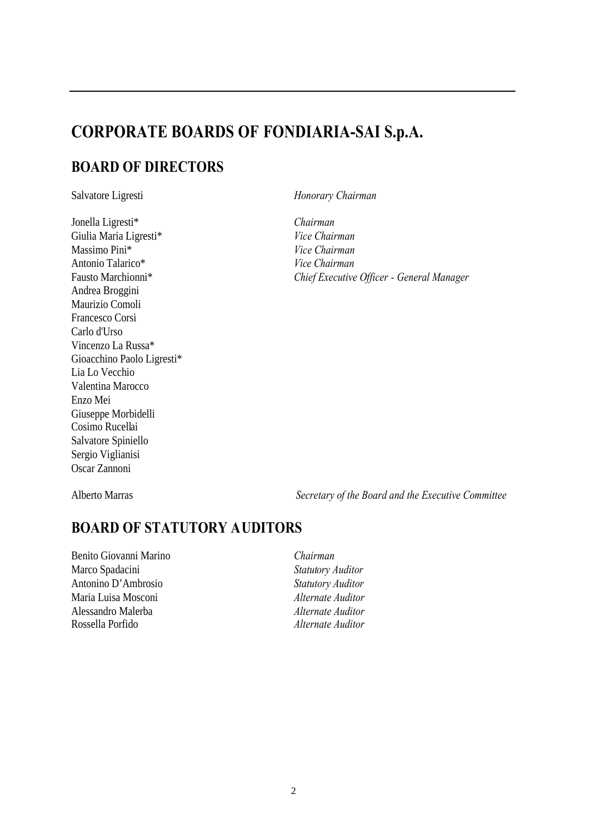# **CORPORATE BOARDS OF FONDIARIA-SAI S.p.A.**

# **BOARD OF DIRECTORS**

Jonella Ligresti\* *Chairman* Giulia Maria Ligresti\* *Vice Chairman* Massimo Pini\* *Vice Chairman* Antonio Talarico\* *Vice Chairman* Andrea Broggini Maurizio Comoli Francesco Corsi Carlo d'Urso Vincenzo La Russa\* Gioacchino Paolo Ligresti\* Lia Lo Vecchio Valentina Marocco Enzo Mei Giuseppe Morbidelli Cosimo Rucellai Salvatore Spiniello Sergio Viglianisi Oscar Zannoni

Salvatore Ligresti *Honorary Chairman*

Fausto Marchionni\* *Chief Executive Officer - General Manager*

Alberto Marras *Secretary of the Board and the Executive Committee*

# **BOARD OF STATUTORY AUDITORS**

Benito Giovanni Marino *Chairman* Marco Spadacini *Statutory Auditor* Antonino D'Ambrosio *Statutory Auditor* Maria Luisa Mosconi *Alternate Auditor* Alessandro Malerba *Alternate Auditor* Rossella Porfido *Alternate Auditor*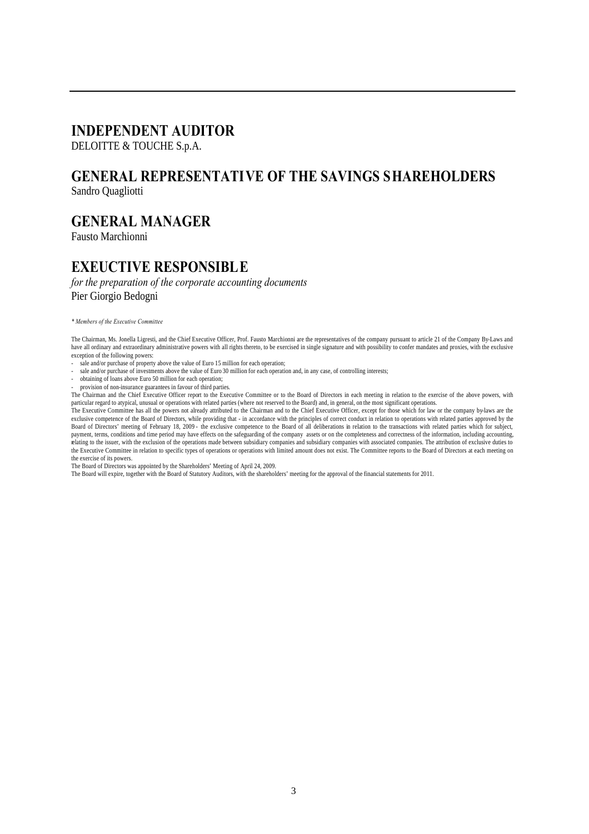# **INDEPENDENT AUDITOR**

DELOITTE & TOUCHE S.p.A.

# **GENERAL REPRESENTATIVE OF THE SAVINGS SHAREHOLDERS**

Sandro Quagliotti

# **GENERAL MANAGER**

Fausto Marchionni

# **EXEUCTIVE RESPONSIBLE**

*for the preparation of the corporate accounting documents* Pier Giorgio Bedogni

*\* Members of the Executive Committee*

The Chairman, Ms. Jonella Ligresti, and the Chief Executive Officer, Prof. Fausto Marchionni are the representatives of the company pursuant to article 21 of the Company By-Laws and have all ordinary and extraordinary administrative powers with all rights thereto, to be exercised in single signature and with possibility to confer mandates and proxies, with the exclusive exception of the following powers:

- sale and/or purchase of property above the value of Euro 15 million for each operation;
- sale and/or purchase of investments above the value of Euro 30 million for each operation and, in any case, of controlling interests;
- obtaining of loans above Euro 50 million for each operation;
- provision of non-insurance guarantees in favour of third parties.

The Chairman and the Chief Executive Officer report to the Executive Committee or to the Board of Directors in each meeting in relation to the exercise of the above powers, with particular regard to atypical, unusual or operations with related parties (where not reserved to the Board) and, in general, on the most significant operations.

The Executive Committee has all the powers not already attributed to the Chairman and to the Chief Executive Officer, except for those which for law or the company by-laws are the exclusive competence of the Board of Directors, while providing that - in accordance with the principles of correct conduct in relation to operations with related parties approved by the Board of Directors' meeting of February 18, 2009 - the exclusive competence to the Board of all deliberations in relation to the transactions with related parties which for subject, payment, terms, conditions and time period may have effects on the safeguarding of the company assets or on the completeness and correctness of the information, including accounting, relating to the issuer, with the exclusion of the operations made between subsidiary companies and subsidiary companies with associated companies. The attribution of exclusive duties to the Executive Committee in relation to specific types of operations or operations with limited amount does not exist. The Committee reports to the Board of Directors at each meeting on the exercise of its powers.

The Board of Directors was appointed by the Shareholders' Meeting of April 24, 2009.

The Board will expire, together with the Board of Statutory Auditors, with the shareholders' meeting for the approval of the financial statements for 2011.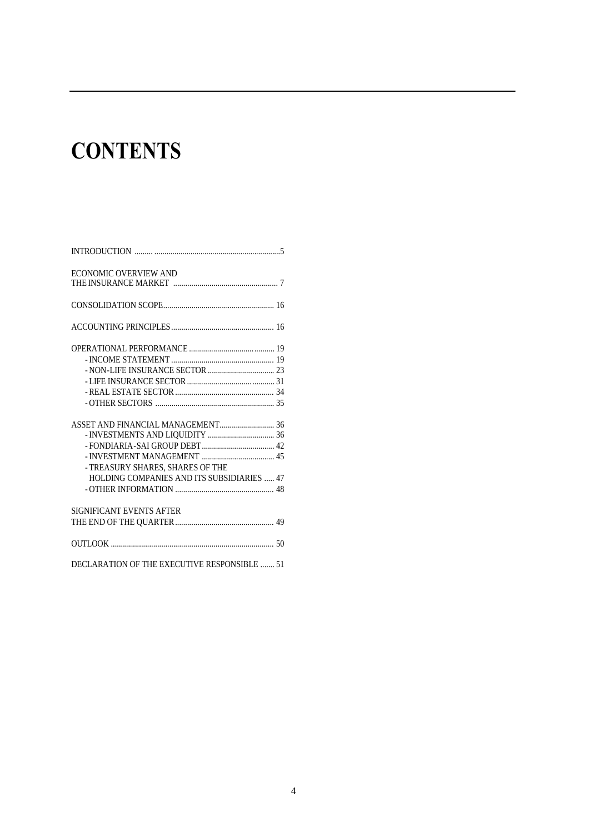# **CONTENTS**

| ECONOMIC OVERVIEW AND                        |  |
|----------------------------------------------|--|
|                                              |  |
|                                              |  |
|                                              |  |
|                                              |  |
|                                              |  |
|                                              |  |
|                                              |  |
|                                              |  |
|                                              |  |
|                                              |  |
|                                              |  |
|                                              |  |
|                                              |  |
| - TREASURY SHARES, SHARES OF THE             |  |
| HOLDING COMPANIES AND ITS SUBSIDIARIES  47   |  |
|                                              |  |
| SIGNIFICANT EVENTS AFTER                     |  |
|                                              |  |
|                                              |  |
| DECLARATION OF THE EXECUTIVE RESPONSIBLE  51 |  |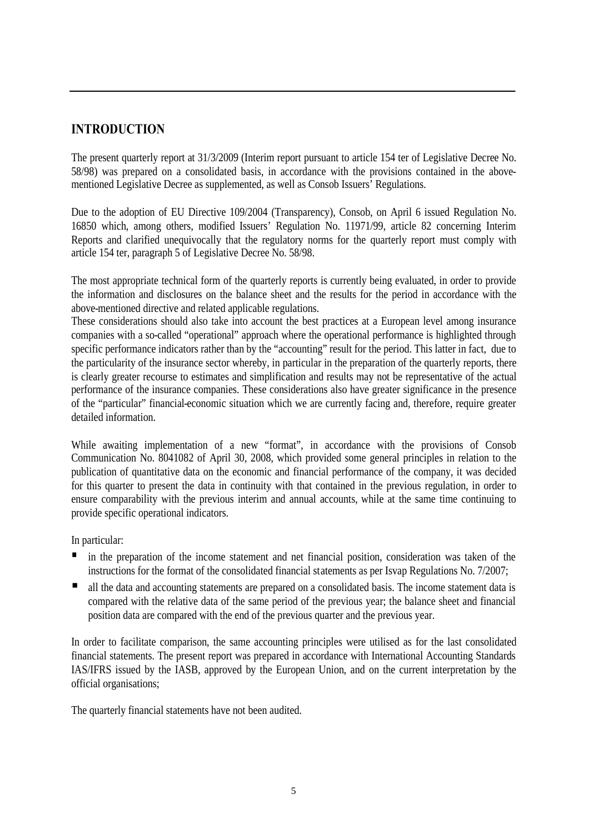# **INTRODUCTION**

The present quarterly report at 31/3/2009 (Interim report pursuant to article 154 ter of Legislative Decree No. 58/98) was prepared on a consolidated basis, in accordance with the provisions contained in the abovementioned Legislative Decree as supplemented, as well as Consob Issuers' Regulations.

Due to the adoption of EU Directive 109/2004 (Transparency), Consob, on April 6 issued Regulation No. 16850 which, among others, modified Issuers' Regulation No. 11971/99, article 82 concerning Interim Reports and clarified unequivocally that the regulatory norms for the quarterly report must comply with article 154 ter, paragraph 5 of Legislative Decree No. 58/98.

The most appropriate technical form of the quarterly reports is currently being evaluated, in order to provide the information and disclosures on the balance sheet and the results for the period in accordance with the above-mentioned directive and related applicable regulations.

These considerations should also take into account the best practices at a European level among insurance companies with a so-called "operational" approach where the operational performance is highlighted through specific performance indicators rather than by the "accounting" result for the period. This latter in fact, due to the particularity of the insurance sector whereby, in particular in the preparation of the quarterly reports, there is clearly greater recourse to estimates and simplification and results may not be representative of the actual performance of the insurance companies. These considerations also have greater significance in the presence of the "particular" financial-economic situation which we are currently facing and, therefore, require greater detailed information.

While awaiting implementation of a new "format", in accordance with the provisions of Consob Communication No. 8041082 of April 30, 2008, which provided some general principles in relation to the publication of quantitative data on the economic and financial performance of the company, it was decided for this quarter to present the data in continuity with that contained in the previous regulation, in order to ensure comparability with the previous interim and annual accounts, while at the same time continuing to provide specific operational indicators.

In particular:

- in the preparation of the income statement and net financial position, consideration was taken of the instructions for the format of the consolidated financial statements as per Isvap Regulations No. 7/2007;
- all the data and accounting statements are prepared on a consolidated basis. The income statement data is compared with the relative data of the same period of the previous year; the balance sheet and financial position data are compared with the end of the previous quarter and the previous year.

In order to facilitate comparison, the same accounting principles were utilised as for the last consolidated financial statements. The present report was prepared in accordance with International Accounting Standards IAS/IFRS issued by the IASB, approved by the European Union, and on the current interpretation by the official organisations;

The quarterly financial statements have not been audited.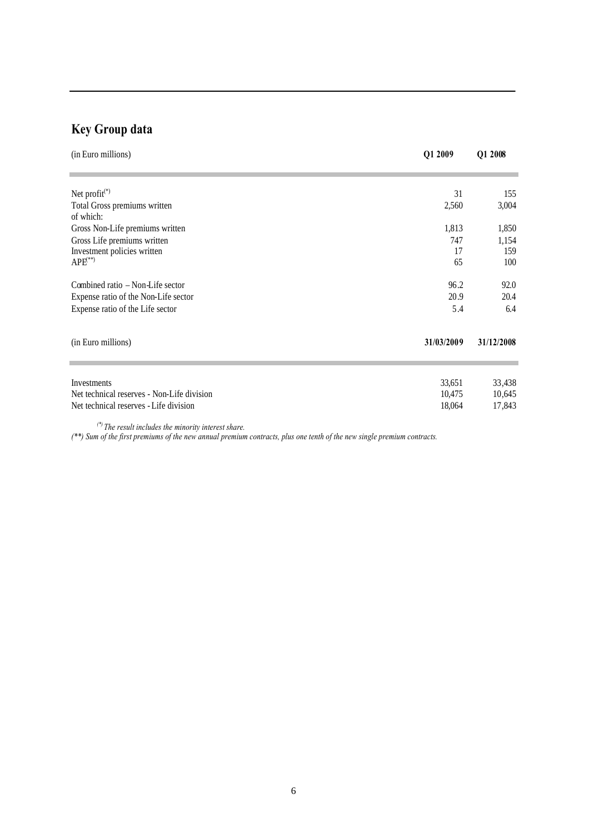# **Key Group data**

| (in Euro millions)                                                                                                                                                                                                                                                                      | Q1 2009    | Q1 2008    |
|-----------------------------------------------------------------------------------------------------------------------------------------------------------------------------------------------------------------------------------------------------------------------------------------|------------|------------|
| Net profit $(*)$                                                                                                                                                                                                                                                                        | 31         | 155        |
| Total Gross premiums written<br>of which:                                                                                                                                                                                                                                               | 2,560      | 3,004      |
| Gross Non-Life premiums written                                                                                                                                                                                                                                                         | 1,813      | 1,850      |
| Gross Life premiums written                                                                                                                                                                                                                                                             | 747        | 1,154      |
| Investment policies written                                                                                                                                                                                                                                                             | 17         | 159        |
| $APE$ <sup>(**)</sup>                                                                                                                                                                                                                                                                   | 65         | 100        |
| Combined ratio – Non-Life sector                                                                                                                                                                                                                                                        | 96.2       | 92.0       |
| Expense ratio of the Non-Life sector                                                                                                                                                                                                                                                    | 20.9       | 20.4       |
| Expense ratio of the Life sector                                                                                                                                                                                                                                                        | 5.4        | 6.4        |
| (in Euro millions)                                                                                                                                                                                                                                                                      | 31/03/2009 | 31/12/2008 |
|                                                                                                                                                                                                                                                                                         |            |            |
| Investments                                                                                                                                                                                                                                                                             | 33,651     | 33,438     |
| Net technical reserves - Non-Life division                                                                                                                                                                                                                                              | 10,475     | 10,645     |
| Net technical reserves - Life division                                                                                                                                                                                                                                                  | 18,064     | 17,843     |
| $\sqrt{8}$ and $\sqrt{8}$ and $\sqrt{8}$ and $\sqrt{8}$ and $\sqrt{8}$ and $\sqrt{8}$ and $\sqrt{8}$ and $\sqrt{8}$ and $\sqrt{8}$ and $\sqrt{8}$ and $\sqrt{8}$ and $\sqrt{8}$ and $\sqrt{8}$ and $\sqrt{8}$ and $\sqrt{8}$ and $\sqrt{8}$ and $\sqrt{8}$ and $\sqrt{8}$ and $\sqrt{8$ |            |            |

*(\*) The result includes the minority interest share.*

*(\*\*) Sum of the first premiums of the new annual premium contracts, plus one tenth of the new single premium contracts.*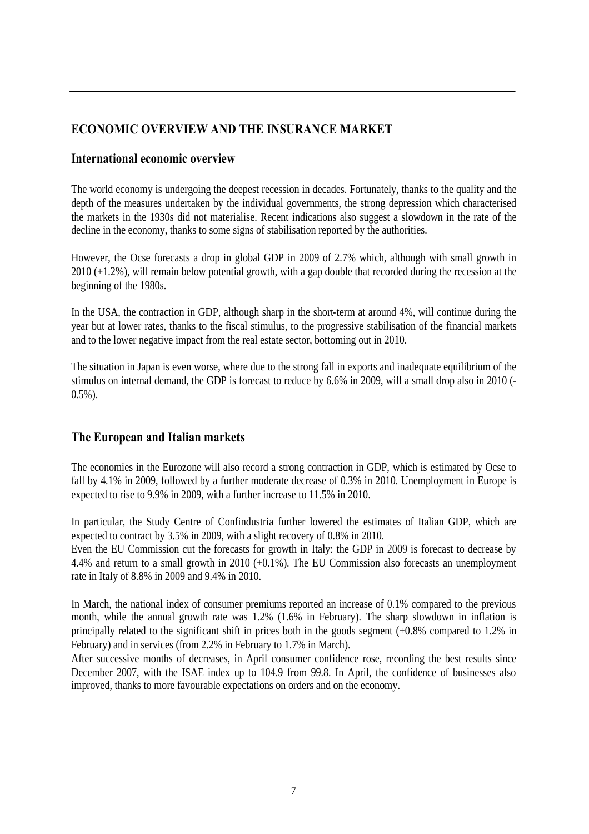# **ECONOMIC OVERVIEW AND THE INSURANCE MARKET**

# **International economic overview**

The world economy is undergoing the deepest recession in decades. Fortunately, thanks to the quality and the depth of the measures undertaken by the individual governments, the strong depression which characterised the markets in the 1930s did not materialise. Recent indications also suggest a slowdown in the rate of the decline in the economy, thanks to some signs of stabilisation reported by the authorities.

However, the Ocse forecasts a drop in global GDP in 2009 of 2.7% which, although with small growth in 2010 (+1.2%), will remain below potential growth, with a gap double that recorded during the recession at the beginning of the 1980s.

In the USA, the contraction in GDP, although sharp in the short-term at around 4%, will continue during the year but at lower rates, thanks to the fiscal stimulus, to the progressive stabilisation of the financial markets and to the lower negative impact from the real estate sector, bottoming out in 2010.

The situation in Japan is even worse, where due to the strong fall in exports and inadequate equilibrium of the stimulus on internal demand, the GDP is forecast to reduce by 6.6% in 2009, will a small drop also in 2010 (-  $0.5\%$ ).

# **The European and Italian markets**

The economies in the Eurozone will also record a strong contraction in GDP, which is estimated by Ocse to fall by 4.1% in 2009, followed by a further moderate decrease of 0.3% in 2010. Unemployment in Europe is expected to rise to 9.9% in 2009, with a further increase to 11.5% in 2010.

In particular, the Study Centre of Confindustria further lowered the estimates of Italian GDP, which are expected to contract by 3.5% in 2009, with a slight recovery of 0.8% in 2010.

Even the EU Commission cut the forecasts for growth in Italy: the GDP in 2009 is forecast to decrease by 4.4% and return to a small growth in 2010 (+0.1%). The EU Commission also forecasts an unemployment rate in Italy of 8.8% in 2009 and 9.4% in 2010.

In March, the national index of consumer premiums reported an increase of 0.1% compared to the previous month, while the annual growth rate was 1.2% (1.6% in February). The sharp slowdown in inflation is principally related to the significant shift in prices both in the goods segment (+0.8% compared to 1.2% in February) and in services (from 2.2% in February to 1.7% in March).

After successive months of decreases, in April consumer confidence rose, recording the best results since December 2007, with the ISAE index up to 104.9 from 99.8. In April, the confidence of businesses also improved, thanks to more favourable expectations on orders and on the economy.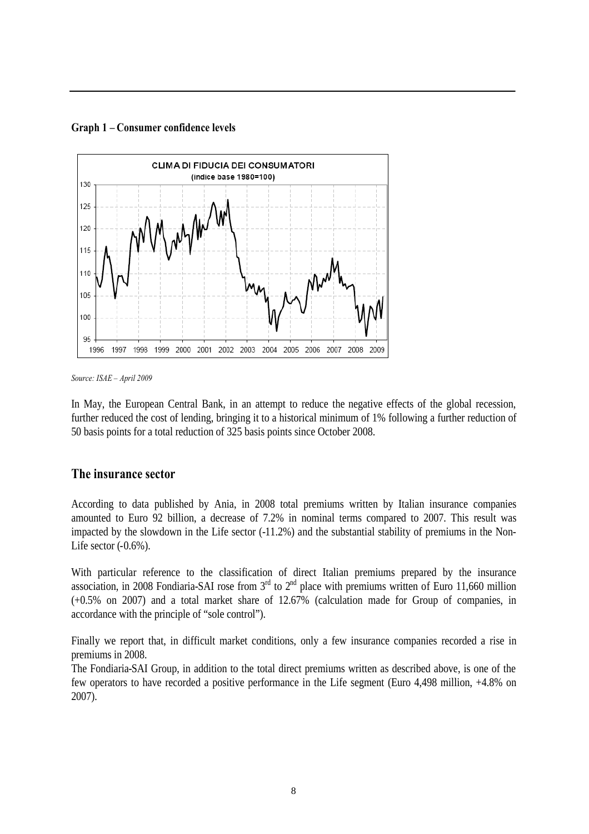**Graph 1 – Consumer confidence levels**



*Source: ISAE – April 2009*

In May, the European Central Bank, in an attempt to reduce the negative effects of the global recession, further reduced the cost of lending, bringing it to a historical minimum of 1% following a further reduction of 50 basis points for a total reduction of 325 basis points since October 2008.

#### **The insurance sector**

According to data published by Ania, in 2008 total premiums written by Italian insurance companies amounted to Euro 92 billion, a decrease of 7.2% in nominal terms compared to 2007. This result was impacted by the slowdown in the Life sector (-11.2%) and the substantial stability of premiums in the Non-Life sector (-0.6%).

With particular reference to the classification of direct Italian premiums prepared by the insurance association, in 2008 Fondiaria-SAI rose from  $3<sup>rd</sup>$  to  $2<sup>nd</sup>$  place with premiums written of Euro 11,660 million (+0.5% on 2007) and a total market share of 12.67% (calculation made for Group of companies, in accordance with the principle of "sole control").

Finally we report that, in difficult market conditions, only a few insurance companies recorded a rise in premiums in 2008.

The Fondiaria-SAI Group, in addition to the total direct premiums written as described above, is one of the few operators to have recorded a positive performance in the Life segment (Euro 4,498 million, +4.8% on 2007).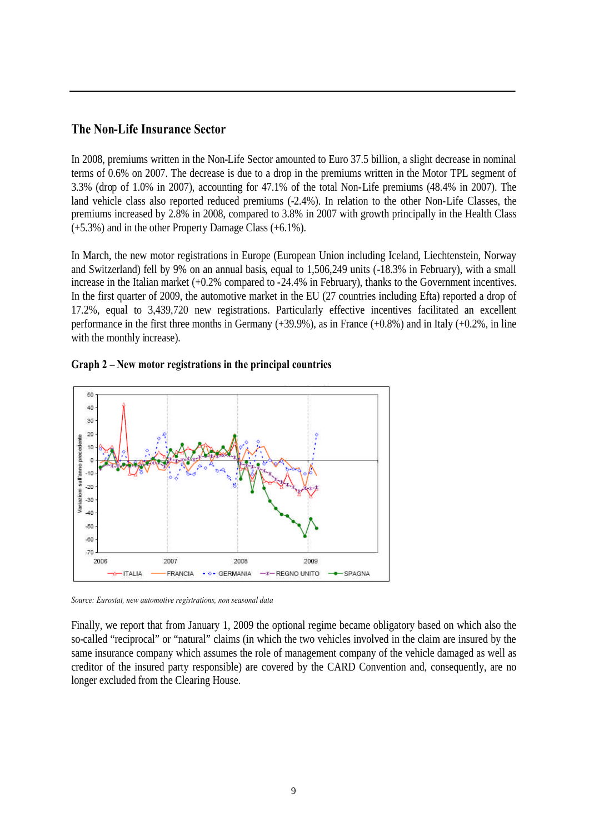## **The Non-Life Insurance Sector**

In 2008, premiums written in the Non-Life Sector amounted to Euro 37.5 billion, a slight decrease in nominal terms of 0.6% on 2007. The decrease is due to a drop in the premiums written in the Motor TPL segment of 3.3% (drop of 1.0% in 2007), accounting for 47.1% of the total Non-Life premiums (48.4% in 2007). The land vehicle class also reported reduced premiums (-2.4%). In relation to the other Non-Life Classes, the premiums increased by 2.8% in 2008, compared to 3.8% in 2007 with growth principally in the Health Class (+5.3%) and in the other Property Damage Class (+6.1%).

In March, the new motor registrations in Europe (European Union including Iceland, Liechtenstein, Norway and Switzerland) fell by 9% on an annual basis, equal to 1,506,249 units (-18.3% in February), with a small increase in the Italian market (+0.2% compared to -24.4% in February), thanks to the Government incentives. In the first quarter of 2009, the automotive market in the EU (27 countries including Efta) reported a drop of 17.2%, equal to 3,439,720 new registrations. Particularly effective incentives facilitated an excellent performance in the first three months in Germany (+39.9%), as in France (+0.8%) and in Italy (+0.2%, in line with the monthly increase).



**Graph 2 – New motor registrations in the principal countries**

*Source: Eurostat, new automotive registrations, non seasonal data*

Finally, we report that from January 1, 2009 the optional regime became obligatory based on which also the so-called "reciprocal" or "natural" claims (in which the two vehicles involved in the claim are insured by the same insurance company which assumes the role of management company of the vehicle damaged as well as creditor of the insured party responsible) are covered by the CARD Convention and, consequently, are no longer excluded from the Clearing House.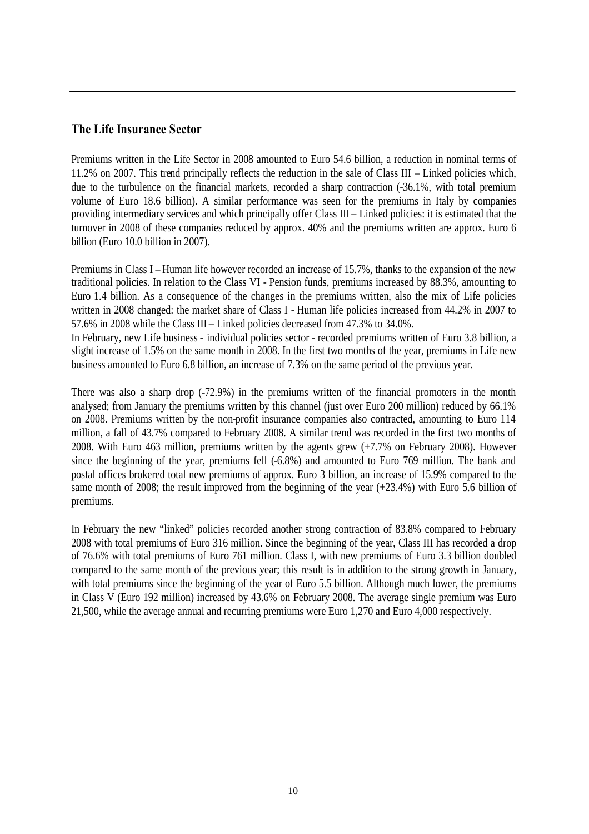# **The Life Insurance Sector**

Premiums written in the Life Sector in 2008 amounted to Euro 54.6 billion, a reduction in nominal terms of 11.2% on 2007. This trend principally reflects the reduction in the sale of Class III – Linked policies which, due to the turbulence on the financial markets, recorded a sharp contraction (-36.1%, with total premium volume of Euro 18.6 billion). A similar performance was seen for the premiums in Italy by companies providing intermediary services and which principally offer Class III – Linked policies: it is estimated that the turnover in 2008 of these companies reduced by approx. 40% and the premiums written are approx. Euro 6 billion (Euro 10.0 billion in 2007).

Premiums in Class I – Human life however recorded an increase of 15.7%, thanks to the expansion of the new traditional policies. In relation to the Class VI - Pension funds, premiums increased by 88.3%, amounting to Euro 1.4 billion. As a consequence of the changes in the premiums written, also the mix of Life policies written in 2008 changed: the market share of Class I - Human life policies increased from 44.2% in 2007 to 57.6% in 2008 while the Class III – Linked policies decreased from 47.3% to 34.0%.

In February, new Life business - individual policies sector - recorded premiums written of Euro 3.8 billion, a slight increase of 1.5% on the same month in 2008. In the first two months of the year, premiums in Life new business amounted to Euro 6.8 billion, an increase of 7.3% on the same period of the previous year.

There was also a sharp drop (-72.9%) in the premiums written of the financial promoters in the month analysed; from January the premiums written by this channel (just over Euro 200 million) reduced by 66.1% on 2008. Premiums written by the non-profit insurance companies also contracted, amounting to Euro 114 million, a fall of 43.7% compared to February 2008. A similar trend was recorded in the first two months of 2008. With Euro 463 million, premiums written by the agents grew (+7.7% on February 2008). However since the beginning of the year, premiums fell (-6.8%) and amounted to Euro 769 million. The bank and postal offices brokered total new premiums of approx. Euro 3 billion, an increase of 15.9% compared to the same month of 2008; the result improved from the beginning of the year (+23.4%) with Euro 5.6 billion of premiums.

In February the new "linked" policies recorded another strong contraction of 83.8% compared to February 2008 with total premiums of Euro 316 million. Since the beginning of the year, Class III has recorded a drop of 76.6% with total premiums of Euro 761 million. Class I, with new premiums of Euro 3.3 billion doubled compared to the same month of the previous year; this result is in addition to the strong growth in January, with total premiums since the beginning of the year of Euro 5.5 billion. Although much lower, the premiums in Class V (Euro 192 million) increased by 43.6% on February 2008. The average single premium was Euro 21,500, while the average annual and recurring premiums were Euro 1,270 and Euro 4,000 respectively.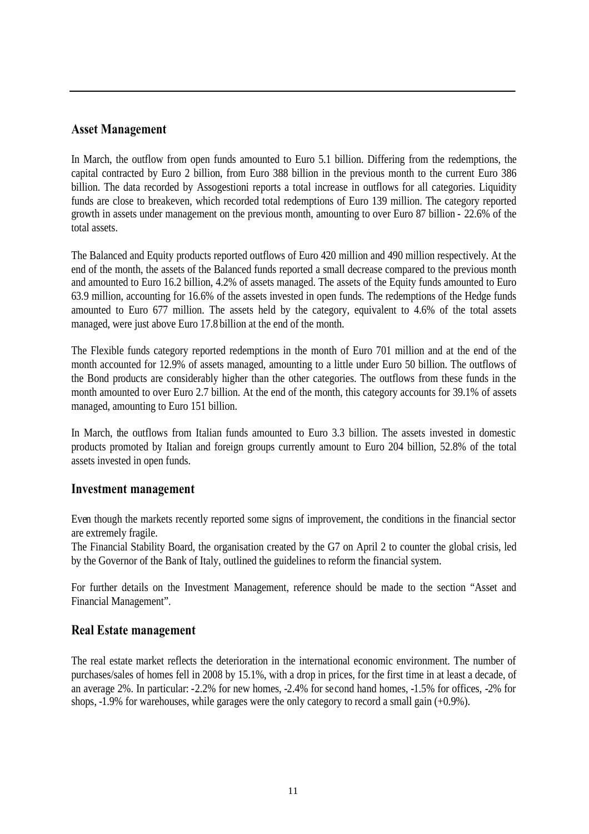# **Asset Management**

In March, the outflow from open funds amounted to Euro 5.1 billion. Differing from the redemptions, the capital contracted by Euro 2 billion, from Euro 388 billion in the previous month to the current Euro 386 billion. The data recorded by Assogestioni reports a total increase in outflows for all categories. Liquidity funds are close to breakeven, which recorded total redemptions of Euro 139 million. The category reported growth in assets under management on the previous month, amounting to over Euro 87 billion - 22.6% of the total assets.

The Balanced and Equity products reported outflows of Euro 420 million and 490 million respectively. At the end of the month, the assets of the Balanced funds reported a small decrease compared to the previous month and amounted to Euro 16.2 billion, 4.2% of assets managed. The assets of the Equity funds amounted to Euro 63.9 million, accounting for 16.6% of the assets invested in open funds. The redemptions of the Hedge funds amounted to Euro 677 million. The assets held by the category, equivalent to 4.6% of the total assets managed, were just above Euro 17.8 billion at the end of the month.

The Flexible funds category reported redemptions in the month of Euro 701 million and at the end of the month accounted for 12.9% of assets managed, amounting to a little under Euro 50 billion. The outflows of the Bond products are considerably higher than the other categories. The outflows from these funds in the month amounted to over Euro 2.7 billion. At the end of the month, this category accounts for 39.1% of assets managed, amounting to Euro 151 billion.

In March, the outflows from Italian funds amounted to Euro 3.3 billion. The assets invested in domestic products promoted by Italian and foreign groups currently amount to Euro 204 billion, 52.8% of the total assets invested in open funds.

#### **Investment management**

Even though the markets recently reported some signs of improvement, the conditions in the financial sector are extremely fragile.

The Financial Stability Board, the organisation created by the G7 on April 2 to counter the global crisis, led by the Governor of the Bank of Italy, outlined the guidelines to reform the financial system.

For further details on the Investment Management, reference should be made to the section "Asset and Financial Management".

#### **Real Estate management**

The real estate market reflects the deterioration in the international economic environment. The number of purchases/sales of homes fell in 2008 by 15.1%, with a drop in prices, for the first time in at least a decade, of an average 2%. In particular: -2.2% for new homes, -2.4% for second hand homes, -1.5% for offices, -2% for shops, -1.9% for warehouses, while garages were the only category to record a small gain (+0.9%).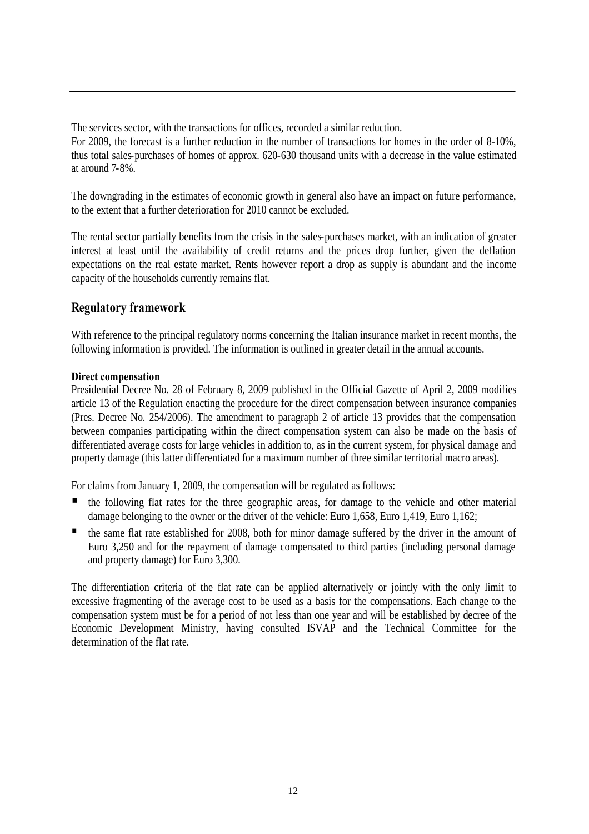The services sector, with the transactions for offices, recorded a similar reduction. For 2009, the forecast is a further reduction in the number of transactions for homes in the order of 8-10%, thus total sales-purchases of homes of approx. 620-630 thousand units with a decrease in the value estimated at around 7-8%.

The downgrading in the estimates of economic growth in general also have an impact on future performance, to the extent that a further deterioration for 2010 cannot be excluded.

The rental sector partially benefits from the crisis in the sales-purchases market, with an indication of greater interest at least until the availability of credit returns and the prices drop further, given the deflation expectations on the real estate market. Rents however report a drop as supply is abundant and the income capacity of the households currently remains flat.

# **Regulatory framework**

With reference to the principal regulatory norms concerning the Italian insurance market in recent months, the following information is provided. The information is outlined in greater detail in the annual accounts.

#### **Direct compensation**

Presidential Decree No. 28 of February 8, 2009 published in the Official Gazette of April 2, 2009 modifies article 13 of the Regulation enacting the procedure for the direct compensation between insurance companies (Pres. Decree No. 254/2006). The amendment to paragraph 2 of article 13 provides that the compensation between companies participating within the direct compensation system can also be made on the basis of differentiated average costs for large vehicles in addition to, as in the current system, for physical damage and property damage (this latter differentiated for a maximum number of three similar territorial macro areas).

For claims from January 1, 2009, the compensation will be regulated as follows:

- the following flat rates for the three geographic areas, for damage to the vehicle and other material damage belonging to the owner or the driver of the vehicle: Euro 1,658, Euro 1,419, Euro 1,162;
- the same flat rate established for 2008, both for minor damage suffered by the driver in the amount of Euro 3,250 and for the repayment of damage compensated to third parties (including personal damage and property damage) for Euro 3,300.

The differentiation criteria of the flat rate can be applied alternatively or jointly with the only limit to excessive fragmenting of the average cost to be used as a basis for the compensations. Each change to the compensation system must be for a period of not less than one year and will be established by decree of the Economic Development Ministry, having consulted ISVAP and the Technical Committee for the determination of the flat rate.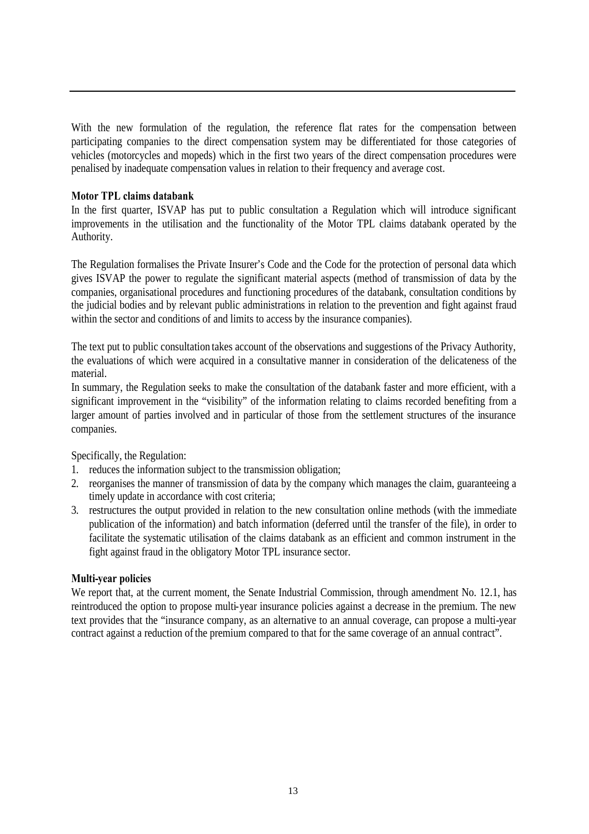With the new formulation of the regulation, the reference flat rates for the compensation between participating companies to the direct compensation system may be differentiated for those categories of vehicles (motorcycles and mopeds) which in the first two years of the direct compensation procedures were penalised by inadequate compensation values in relation to their frequency and average cost.

#### **Motor TPL claims databank**

In the first quarter, ISVAP has put to public consultation a Regulation which will introduce significant improvements in the utilisation and the functionality of the Motor TPL claims databank operated by the Authority.

The Regulation formalises the Private Insurer's Code and the Code for the protection of personal data which gives ISVAP the power to regulate the significant material aspects (method of transmission of data by the companies, organisational procedures and functioning procedures of the databank, consultation conditions by the judicial bodies and by relevant public administrations in relation to the prevention and fight against fraud within the sector and conditions of and limits to access by the insurance companies).

The text put to public consultation takes account of the observations and suggestions of the Privacy Authority, the evaluations of which were acquired in a consultative manner in consideration of the delicateness of the material.

In summary, the Regulation seeks to make the consultation of the databank faster and more efficient, with a significant improvement in the "visibility" of the information relating to claims recorded benefiting from a larger amount of parties involved and in particular of those from the settlement structures of the insurance companies.

Specifically, the Regulation:

- 1. reduces the information subject to the transmission obligation;
- 2. reorganises the manner of transmission of data by the company which manages the claim, guaranteeing a timely update in accordance with cost criteria;
- 3. restructures the output provided in relation to the new consultation online methods (with the immediate publication of the information) and batch information (deferred until the transfer of the file), in order to facilitate the systematic utilisation of the claims databank as an efficient and common instrument in the fight against fraud in the obligatory Motor TPL insurance sector.

#### **Multi-year policies**

We report that, at the current moment, the Senate Industrial Commission, through amendment No. 12.1, has reintroduced the option to propose multi-year insurance policies against a decrease in the premium. The new text provides that the "insurance company, as an alternative to an annual coverage, can propose a multi-year contract against a reduction of the premium compared to that for the same coverage of an annual contract".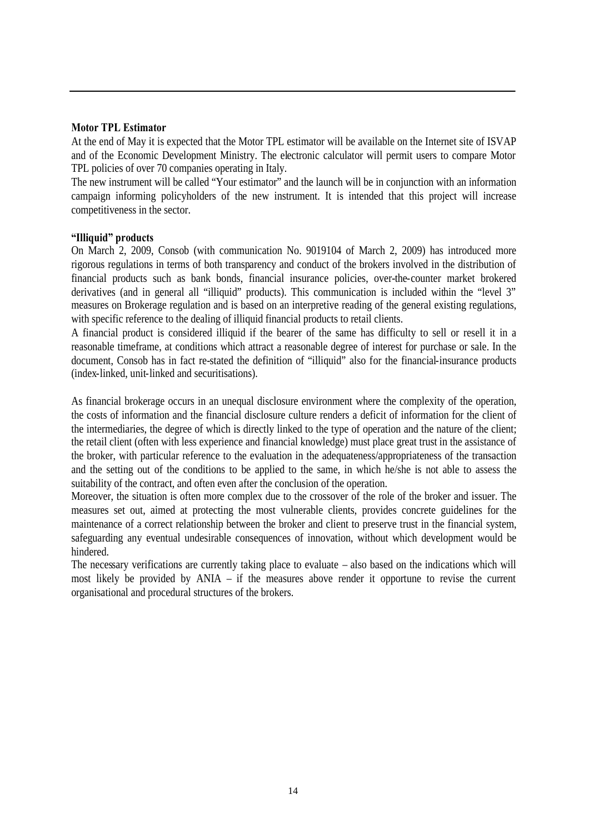#### **Motor TPL Estimator**

At the end of May it is expected that the Motor TPL estimator will be available on the Internet site of ISVAP and of the Economic Development Ministry. The electronic calculator will permit users to compare Motor TPL policies of over 70 companies operating in Italy.

The new instrument will be called "Your estimator" and the launch will be in conjunction with an information campaign informing policyholders of the new instrument. It is intended that this project will increase competitiveness in the sector.

#### **"Illiquid" products**

On March 2, 2009, Consob (with communication No. 9019104 of March 2, 2009) has introduced more rigorous regulations in terms of both transparency and conduct of the brokers involved in the distribution of financial products such as bank bonds, financial insurance policies, over-the-counter market brokered derivatives (and in general all "illiquid" products). This communication is included within the "level 3" measures on Brokerage regulation and is based on an interpretive reading of the general existing regulations, with specific reference to the dealing of illiquid financial products to retail clients.

A financial product is considered illiquid if the bearer of the same has difficulty to sell or resell it in a reasonable timeframe, at conditions which attract a reasonable degree of interest for purchase or sale. In the document, Consob has in fact re-stated the definition of "illiquid" also for the financial-insurance products (index-linked, unit-linked and securitisations).

As financial brokerage occurs in an unequal disclosure environment where the complexity of the operation, the costs of information and the financial disclosure culture renders a deficit of information for the client of the intermediaries, the degree of which is directly linked to the type of operation and the nature of the client; the retail client (often with less experience and financial knowledge) must place great trust in the assistance of the broker, with particular reference to the evaluation in the adequateness/appropriateness of the transaction and the setting out of the conditions to be applied to the same, in which he/she is not able to assess the suitability of the contract, and often even after the conclusion of the operation.

Moreover, the situation is often more complex due to the crossover of the role of the broker and issuer. The measures set out, aimed at protecting the most vulnerable clients, provides concrete guidelines for the maintenance of a correct relationship between the broker and client to preserve trust in the financial system, safeguarding any eventual undesirable consequences of innovation, without which development would be hindered.

The necessary verifications are currently taking place to evaluate – also based on the indications which will most likely be provided by ANIA – if the measures above render it opportune to revise the current organisational and procedural structures of the brokers.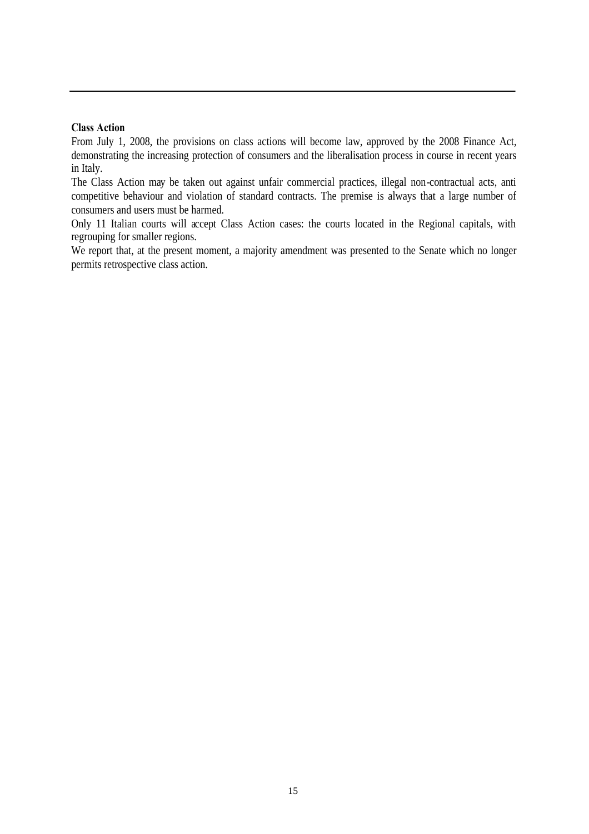#### **Class Action**

From July 1, 2008, the provisions on class actions will become law, approved by the 2008 Finance Act, demonstrating the increasing protection of consumers and the liberalisation process in course in recent years in Italy.

The Class Action may be taken out against unfair commercial practices, illegal non-contractual acts, anti competitive behaviour and violation of standard contracts. The premise is always that a large number of consumers and users must be harmed.

Only 11 Italian courts will accept Class Action cases: the courts located in the Regional capitals, with regrouping for smaller regions.

We report that, at the present moment, a majority amendment was presented to the Senate which no longer permits retrospective class action.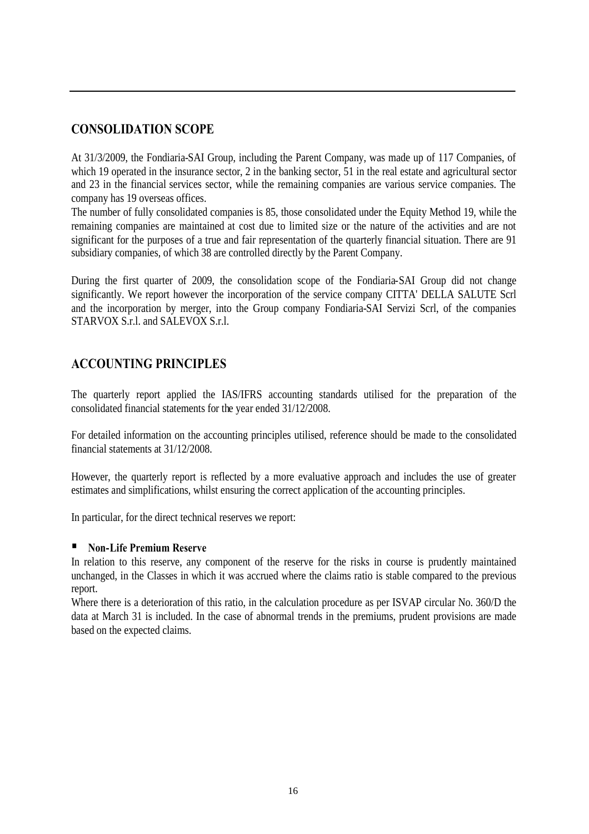# **CONSOLIDATION SCOPE**

At 31/3/2009, the Fondiaria-SAI Group, including the Parent Company, was made up of 117 Companies, of which 19 operated in the insurance sector, 2 in the banking sector, 51 in the real estate and agricultural sector and 23 in the financial services sector, while the remaining companies are various service companies. The company has 19 overseas offices.

The number of fully consolidated companies is 85, those consolidated under the Equity Method 19, while the remaining companies are maintained at cost due to limited size or the nature of the activities and are not significant for the purposes of a true and fair representation of the quarterly financial situation. There are 91 subsidiary companies, of which 38 are controlled directly by the Parent Company.

During the first quarter of 2009, the consolidation scope of the Fondiaria-SAI Group did not change significantly. We report however the incorporation of the service company CITTA' DELLA SALUTE Scrl and the incorporation by merger, into the Group company Fondiaria-SAI Servizi Scrl, of the companies STARVOX S.r.l. and SALEVOX S.r.l.

# **ACCOUNTING PRINCIPLES**

The quarterly report applied the IAS/IFRS accounting standards utilised for the preparation of the consolidated financial statements for the year ended 31/12/2008.

For detailed information on the accounting principles utilised, reference should be made to the consolidated financial statements at 31/12/2008.

However, the quarterly report is reflected by a more evaluative approach and includes the use of greater estimates and simplifications, whilst ensuring the correct application of the accounting principles.

In particular, for the direct technical reserves we report:

#### **Non-Life Premium Reserve**

In relation to this reserve, any component of the reserve for the risks in course is prudently maintained unchanged, in the Classes in which it was accrued where the claims ratio is stable compared to the previous report.

Where there is a deterioration of this ratio, in the calculation procedure as per ISVAP circular No. 360/D the data at March 31 is included. In the case of abnormal trends in the premiums, prudent provisions are made based on the expected claims.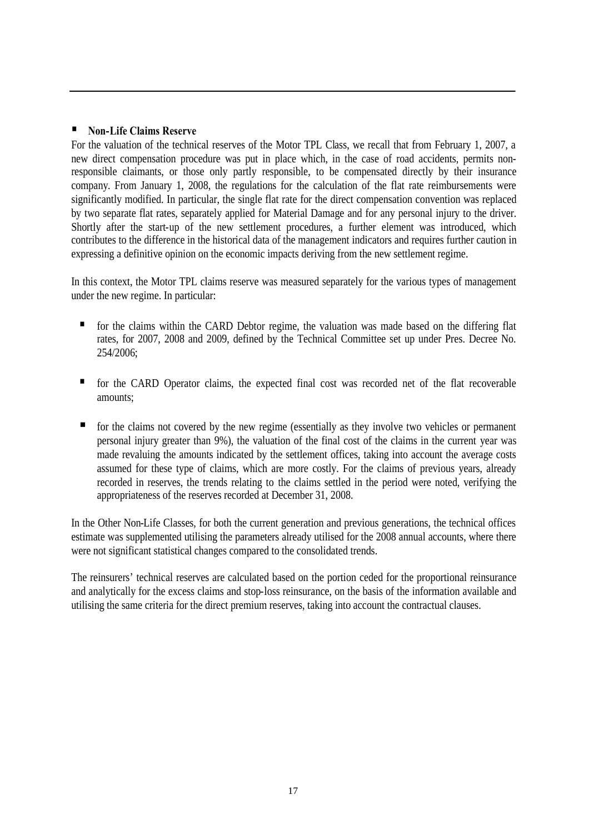#### **Non-Life Claims Reserve**

For the valuation of the technical reserves of the Motor TPL Class, we recall that from February 1, 2007, a new direct compensation procedure was put in place which, in the case of road accidents, permits nonresponsible claimants, or those only partly responsible, to be compensated directly by their insurance company. From January 1, 2008, the regulations for the calculation of the flat rate reimbursements were significantly modified. In particular, the single flat rate for the direct compensation convention was replaced by two separate flat rates, separately applied for Material Damage and for any personal injury to the driver. Shortly after the start-up of the new settlement procedures, a further element was introduced, which contributes to the difference in the historical data of the management indicators and requires further caution in expressing a definitive opinion on the economic impacts deriving from the new settlement regime.

In this context, the Motor TPL claims reserve was measured separately for the various types of management under the new regime. In particular:

- for the claims within the CARD Debtor regime, the valuation was made based on the differing flat rates, for 2007, 2008 and 2009, defined by the Technical Committee set up under Pres. Decree No. 254/2006;
- for the CARD Operator claims, the expected final cost was recorded net of the flat recoverable amounts;
- for the claims not covered by the new regime (essentially as they involve two vehicles or permanent personal injury greater than 9%), the valuation of the final cost of the claims in the current year was made revaluing the amounts indicated by the settlement offices, taking into account the average costs assumed for these type of claims, which are more costly. For the claims of previous years, already recorded in reserves, the trends relating to the claims settled in the period were noted, verifying the appropriateness of the reserves recorded at December 31, 2008.

In the Other Non-Life Classes, for both the current generation and previous generations, the technical offices estimate was supplemented utilising the parameters already utilised for the 2008 annual accounts, where there were not significant statistical changes compared to the consolidated trends.

The reinsurers' technical reserves are calculated based on the portion ceded for the proportional reinsurance and analytically for the excess claims and stop-loss reinsurance, on the basis of the information available and utilising the same criteria for the direct premium reserves, taking into account the contractual clauses.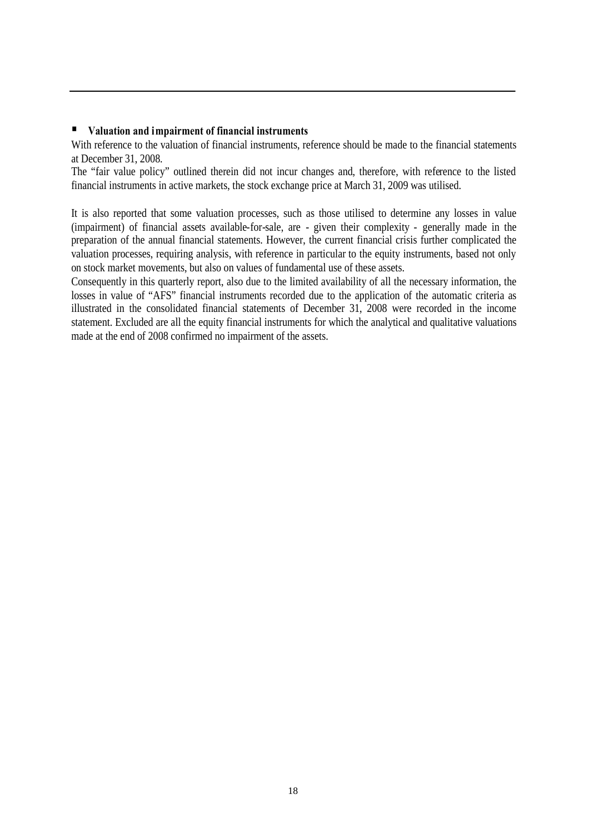#### **Valuation and impairment of financial instruments**

With reference to the valuation of financial instruments, reference should be made to the financial statements at December 31, 2008.

The "fair value policy" outlined therein did not incur changes and, therefore, with reference to the listed financial instruments in active markets, the stock exchange price at March 31, 2009 was utilised.

It is also reported that some valuation processes, such as those utilised to determine any losses in value (impairment) of financial assets available-for-sale, are - given their complexity - generally made in the preparation of the annual financial statements. However, the current financial crisis further complicated the valuation processes, requiring analysis, with reference in particular to the equity instruments, based not only on stock market movements, but also on values of fundamental use of these assets.

Consequently in this quarterly report, also due to the limited availability of all the necessary information, the losses in value of "AFS" financial instruments recorded due to the application of the automatic criteria as illustrated in the consolidated financial statements of December 31, 2008 were recorded in the income statement. Excluded are all the equity financial instruments for which the analytical and qualitative valuations made at the end of 2008 confirmed no impairment of the assets.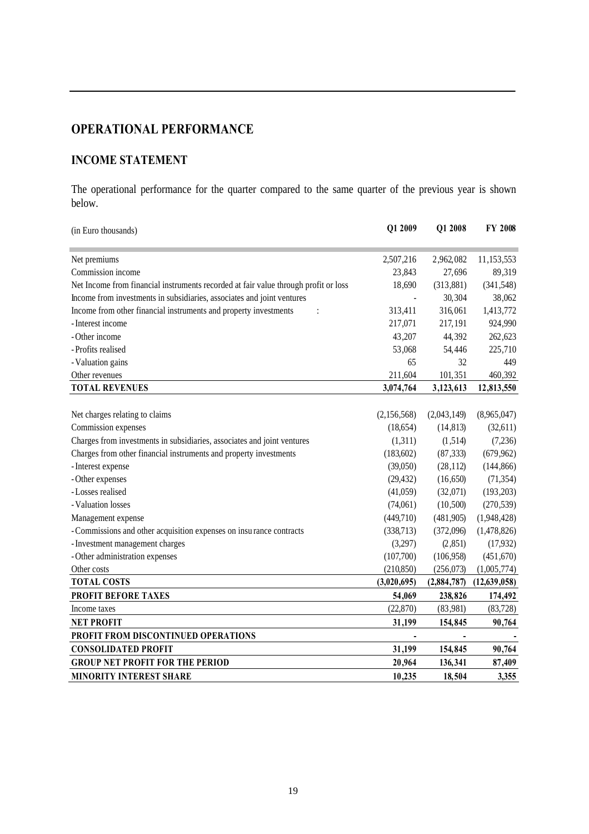# **OPERATIONAL PERFORMANCE**

# **INCOME STATEMENT**

The operational performance for the quarter compared to the same quarter of the previous year is shown below.

| (in Euro thousands)                                                                 | Q1 2009        | Q1 2008        | <b>FY 2008</b> |
|-------------------------------------------------------------------------------------|----------------|----------------|----------------|
| Net premiums                                                                        | 2,507,216      | 2,962,082      | 11,153,553     |
| Commission income                                                                   | 23,843         | 27,696         | 89,319         |
| Net Income from financial instruments recorded at fair value through profit or loss | 18,690         | (313, 881)     | (341, 548)     |
| Income from investments in subsidiaries, associates and joint ventures              |                | 30,304         | 38,062         |
| Income from other financial instruments and property investments<br>$\ddot{\cdot}$  | 313,411        | 316,061        | 1,413,772      |
| - Interest income                                                                   | 217,071        | 217,191        | 924,990        |
| - Other income                                                                      | 43,207         | 44,392         | 262,623        |
| - Profits realised                                                                  | 53,068         | 54,446         | 225,710        |
| - Valuation gains                                                                   | 65             | 32             | 449            |
| Other revenues                                                                      | 211,604        | 101,351        | 460,392        |
| <b>TOTAL REVENUES</b>                                                               | 3,074,764      | 3,123,613      | 12,813,550     |
|                                                                                     |                |                |                |
| Net charges relating to claims                                                      | (2,156,568)    | (2,043,149)    | (8,965,047)    |
| Commission expenses                                                                 | (18, 654)      | (14, 813)      | (32,611)       |
| Charges from investments in subsidiaries, associates and joint ventures             | (1,311)        | (1,514)        | (7,236)        |
| Charges from other financial instruments and property investments                   | (183,602)      | (87, 333)      | (679, 962)     |
| - Interest expense                                                                  | (39,050)       | (28, 112)      | (144, 866)     |
| - Other expenses                                                                    | (29, 432)      | (16, 650)      | (71, 354)      |
| -Losses realised                                                                    | (41,059)       | (32,071)       | (193, 203)     |
| - Valuation losses                                                                  | (74,061)       | (10,500)       | (270, 539)     |
| Management expense                                                                  | (449,710)      | (481,905)      | (1,948,428)    |
| - Commissions and other acquisition expenses on insurance contracts                 | (338,713)      | (372,096)      | (1,478,826)    |
| - Investment management charges                                                     | (3,297)        | (2, 851)       | (17,932)       |
| - Other administration expenses                                                     | (107,700)      | (106,958)      | (451, 670)     |
| Other costs                                                                         | (210, 850)     | (256, 073)     | (1,005,774)    |
| <b>TOTAL COSTS</b>                                                                  | (3,020,695)    | (2,884,787)    | (12, 639, 058) |
| PROFIT BEFORE TAXES                                                                 | 54,069         | 238,826        | 174,492        |
| Income taxes                                                                        | (22, 870)      | (83,981)       | (83, 728)      |
| <b>NET PROFIT</b>                                                                   | 31,199         | 154,845        | 90,764         |
| PROFIT FROM DISCONTINUED OPERATIONS                                                 | $\blacksquare$ | $\blacksquare$ |                |
| <b>CONSOLIDATED PROFIT</b>                                                          | 31,199         | 154,845        | 90,764         |
| <b>GROUP NET PROFIT FOR THE PERIOD</b>                                              | 20,964         | 136,341        | 87,409         |
| <b>MINORITY INTEREST SHARE</b>                                                      | 10,235         | 18,504         | 3,355          |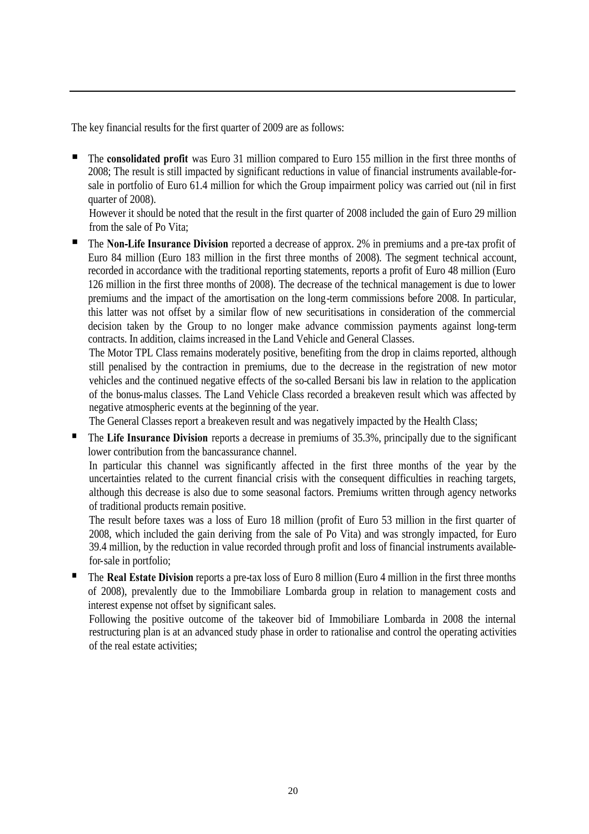The key financial results for the first quarter of 2009 are as follows:

The **consolidated profit** was Euro 31 million compared to Euro 155 million in the first three months of 2008; The result is still impacted by significant reductions in value of financial instruments available-forsale in portfolio of Euro 61.4 million for which the Group impairment policy was carried out (nil in first quarter of 2008).

However it should be noted that the result in the first quarter of 2008 included the gain of Euro 29 million from the sale of Po Vita;

The **Non-Life Insurance Division** reported a decrease of approx. 2% in premiums and a pre-tax profit of Euro 84 million (Euro 183 million in the first three months of 2008). The segment technical account, recorded in accordance with the traditional reporting statements, reports a profit of Euro 48 million (Euro 126 million in the first three months of 2008). The decrease of the technical management is due to lower premiums and the impact of the amortisation on the long-term commissions before 2008. In particular, this latter was not offset by a similar flow of new securitisations in consideration of the commercial decision taken by the Group to no longer make advance commission payments against long-term contracts. In addition, claims increased in the Land Vehicle and General Classes.

The Motor TPL Class remains moderately positive, benefiting from the drop in claims reported, although still penalised by the contraction in premiums, due to the decrease in the registration of new motor vehicles and the continued negative effects of the so-called Bersani bis law in relation to the application of the bonus-malus classes. The Land Vehicle Class recorded a breakeven result which was affected by negative atmospheric events at the beginning of the year.

The General Classes report a breakeven result and was negatively impacted by the Health Class;

 The **Life Insurance Division** reports a decrease in premiums of 35.3%, principally due to the significant lower contribution from the bancassurance channel.

In particular this channel was significantly affected in the first three months of the year by the uncertainties related to the current financial crisis with the consequent difficulties in reaching targets, although this decrease is also due to some seasonal factors. Premiums written through agency networks of traditional products remain positive.

The result before taxes was a loss of Euro 18 million (profit of Euro 53 million in the first quarter of 2008, which included the gain deriving from the sale of Po Vita) and was strongly impacted, for Euro 39.4 million, by the reduction in value recorded through profit and loss of financial instruments availablefor-sale in portfolio;

 The **Real Estate Division** reports a pre-tax loss of Euro 8 million (Euro 4 million in the first three months of 2008), prevalently due to the Immobiliare Lombarda group in relation to management costs and interest expense not offset by significant sales.

Following the positive outcome of the takeover bid of Immobiliare Lombarda in 2008 the internal restructuring plan is at an advanced study phase in order to rationalise and control the operating activities of the real estate activities;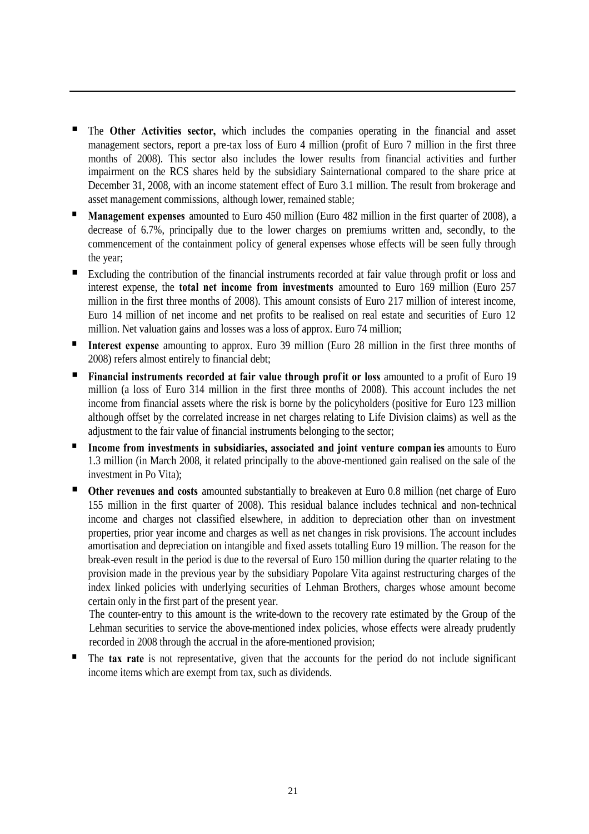- The **Other Activities sector,** which includes the companies operating in the financial and asset management sectors, report a pre-tax loss of Euro 4 million (profit of Euro 7 million in the first three months of 2008). This sector also includes the lower results from financial activities and further impairment on the RCS shares held by the subsidiary Sainternational compared to the share price at December 31, 2008, with an income statement effect of Euro 3.1 million. The result from brokerage and asset management commissions, although lower, remained stable;
- **Management expenses** amounted to Euro 450 million (Euro 482 million in the first quarter of 2008), a decrease of 6.7%, principally due to the lower charges on premiums written and, secondly, to the commencement of the containment policy of general expenses whose effects will be seen fully through the year;
- Excluding the contribution of the financial instruments recorded at fair value through profit or loss and interest expense, the **total net income from investments** amounted to Euro 169 million (Euro 257 million in the first three months of 2008). This amount consists of Euro 217 million of interest income, Euro 14 million of net income and net profits to be realised on real estate and securities of Euro 12 million. Net valuation gains and losses was a loss of approx. Euro 74 million;
- **Interest expense** amounting to approx. Euro 39 million (Euro 28 million in the first three months of 2008) refers almost entirely to financial debt;
- **Financial instruments recorded at fair value through profit or loss** amounted to a profit of Euro 19 million (a loss of Euro 314 million in the first three months of 2008). This account includes the net income from financial assets where the risk is borne by the policyholders (positive for Euro 123 million although offset by the correlated increase in net charges relating to Life Division claims) as well as the adjustment to the fair value of financial instruments belonging to the sector;
- **Income from investments in subsidiaries, associated and joint venture compan ies** amounts to Euro 1.3 million (in March 2008, it related principally to the above-mentioned gain realised on the sale of the investment in Po Vita);
- **Other revenues and costs** amounted substantially to breakeven at Euro 0.8 million (net charge of Euro 155 million in the first quarter of 2008). This residual balance includes technical and non-technical income and charges not classified elsewhere, in addition to depreciation other than on investment properties, prior year income and charges as well as net changes in risk provisions. The account includes amortisation and depreciation on intangible and fixed assets totalling Euro 19 million. The reason for the break-even result in the period is due to the reversal of Euro 150 million during the quarter relating to the provision made in the previous year by the subsidiary Popolare Vita against restructuring charges of the index linked policies with underlying securities of Lehman Brothers, charges whose amount become certain only in the first part of the present year.

The counter-entry to this amount is the write-down to the recovery rate estimated by the Group of the Lehman securities to service the above-mentioned index policies, whose effects were already prudently recorded in 2008 through the accrual in the afore-mentioned provision;

 The **tax rate** is not representative, given that the accounts for the period do not include significant income items which are exempt from tax, such as dividends.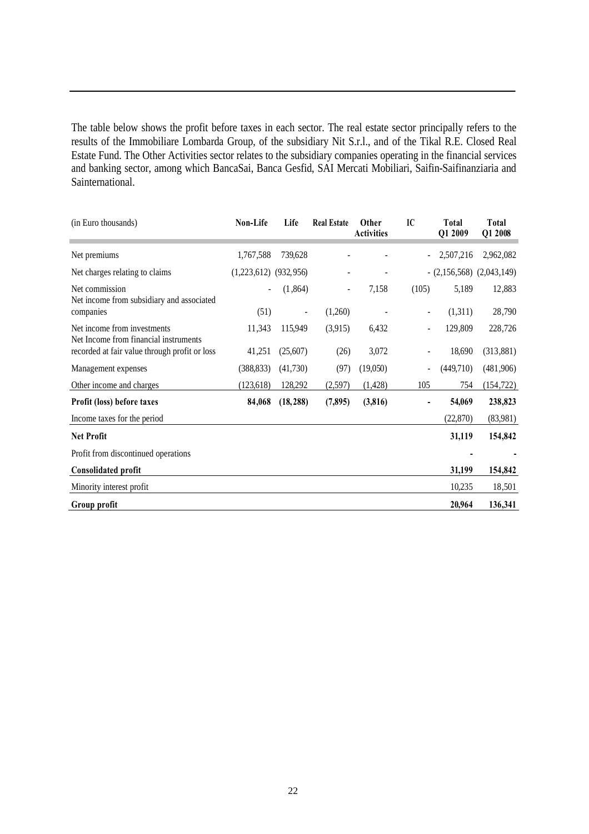The table below shows the profit before taxes in each sector. The real estate sector principally refers to the results of the Immobiliare Lombarda Group, of the subsidiary Nit S.r.l., and of the Tikal R.E. Closed Real Estate Fund. The Other Activities sector relates to the subsidiary companies operating in the financial services and banking sector, among which BancaSai, Banca Gesfid, SAI Mercati Mobiliari, Saifin-Saifinanziaria and Sainternational.

| (in Euro thousands)                                                  | Non-Life                  | Life           | <b>Real Estate</b> | <b>Other</b><br><b>Activities</b> | IC                       | <b>Total</b><br>Q1 2009      | Total<br>Q1 2008 |
|----------------------------------------------------------------------|---------------------------|----------------|--------------------|-----------------------------------|--------------------------|------------------------------|------------------|
| Net premiums                                                         | 1,767,588                 | 739,628        |                    |                                   |                          | 2,507,216                    | 2,962,082        |
| Net charges relating to claims                                       | $(1,223,612)$ $(932,956)$ |                |                    |                                   |                          | $-(2,156,568)$ $(2,043,149)$ |                  |
| Net commission<br>Net income from subsidiary and associated          |                           | (1,864)        | $\overline{a}$     | 7,158                             | (105)                    | 5,189                        | 12,883           |
| companies                                                            | (51)                      | $\blacksquare$ | (1,260)            |                                   | $\overline{\phantom{a}}$ | (1,311)                      | 28,790           |
| Net income from investments<br>Net Income from financial instruments | 11,343                    | 115,949        | (3,915)            | 6,432                             |                          | 129,809                      | 228,726          |
| recorded at fair value through profit or loss                        | 41,251                    | (25,607)       | (26)               | 3,072                             |                          | 18,690                       | (313, 881)       |
| Management expenses                                                  | (388, 833)                | (41,730)       | (97)               | (19,050)                          |                          | (449,710)                    | (481,906)        |
| Other income and charges                                             | (123, 618)                | 128,292        | (2,597)            | (1, 428)                          | 105                      | 754                          | (154, 722)       |
| Profit (loss) before taxes                                           | 84,068                    | (18, 288)      | (7,895)            | (3, 816)                          |                          | 54,069                       | 238,823          |
| Income taxes for the period                                          |                           |                |                    |                                   |                          | (22,870)                     | (83,981)         |
| <b>Net Profit</b>                                                    |                           |                |                    |                                   |                          | 31,119                       | 154,842          |
| Profit from discontinued operations                                  |                           |                |                    |                                   |                          |                              |                  |
| <b>Consolidated profit</b>                                           |                           |                |                    |                                   |                          | 31,199                       | 154,842          |
| Minority interest profit                                             |                           |                |                    |                                   |                          | 10,235                       | 18,501           |
| Group profit                                                         |                           |                |                    |                                   |                          | 20,964                       | 136,341          |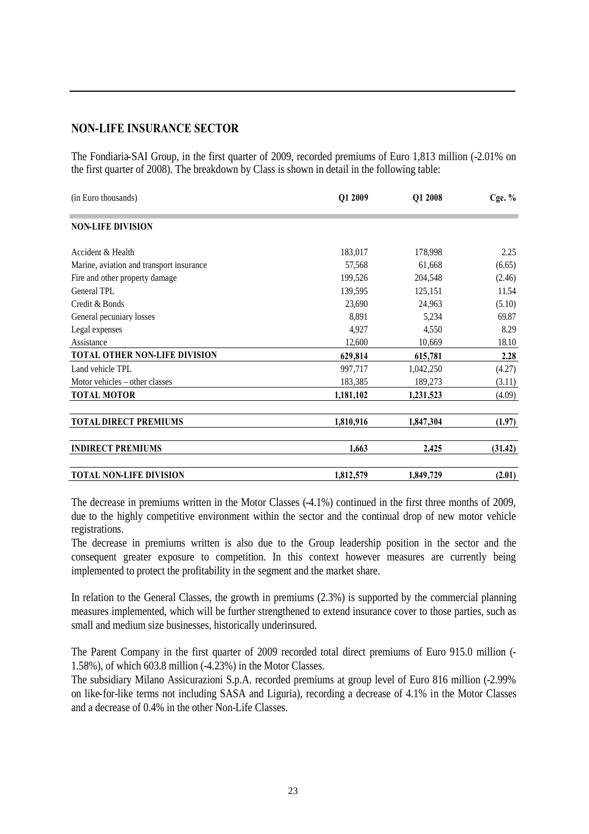#### **NON-LIFE INSURANCE SECTOR**

The Fondiaria-SAI Group, in the first quarter of 2009, recorded premiums of Euro 1,813 million (-2.01% on the first quarter of 2008). The breakdown by Class is shown in detail in the following table:

| (in Euro thousands)                      | Q1 2009   | Q1 2008   | Cge. $%$ |
|------------------------------------------|-----------|-----------|----------|
| <b>NON-LIFE DIVISION</b>                 |           |           |          |
| Accident & Health                        | 183,017   | 178,998   | 2.25     |
| Marine, aviation and transport insurance | 57,568    | 61,668    | (6.65)   |
| Fire and other property damage           | 199,526   | 204,548   | (2.46)   |
| General TPL                              | 139,595   | 125,151   | 11.54    |
| Credit & Bonds                           | 23,690    | 24,963    | (5.10)   |
| General pecuniary losses                 | 8,891     | 5,234     | 69.87    |
| Legal expenses                           | 4,927     | 4,550     | 8.29     |
| Assistance                               | 12,600    | 10,669    | 18.10    |
| TOTAL OTHER NON-LIFE DIVISION            | 629,814   | 615,781   | 2.28     |
| Land vehicle TPL                         | 997,717   | 1,042,250 | (4.27)   |
| Motor vehicles – other classes           | 183,385   | 189,273   | (3.11)   |
| <b>TOTAL MOTOR</b>                       | 1,181,102 | 1,231,523 | (4.09)   |
| <b>TOTAL DIRECT PREMIUMS</b>             | 1,810,916 | 1,847,304 | (1.97)   |
| <b>INDIRECT PREMIUMS</b>                 | 1,663     | 2,425     | (31.42)  |
| <b>TOTAL NON-LIFE DIVISION</b>           | 1,812,579 | 1,849,729 | (2.01)   |

The decrease in premiums written in the Motor Classes (-4.1%) continued in the first three months of 2009, due to the highly competitive environment within the sector and the continual drop of new motor vehicle registrations.

The decrease in premiums written is also due to the Group leadership position in the sector and the consequent greater exposure to competition. In this context however measures are currently being implemented to protect the profitability in the segment and the market share.

In relation to the General Classes, the growth in premiums (2.3%) is supported by the commercial planning measures implemented, which will be further strengthened to extend insurance cover to those parties, such as small and medium size businesses, historically underinsured.

The Parent Company in the first quarter of 2009 recorded total direct premiums of Euro 915.0 million (- 1.58%), of which 603.8 million (-4.23%) in the Motor Classes.

The subsidiary Milano Assicurazioni S.p.A. recorded premiums at group level of Euro 816 million (-2.99% on like-for-like terms not including SASA and Liguria), recording a decrease of 4.1% in the Motor Classes and a decrease of 0.4% in the other Non-Life Classes.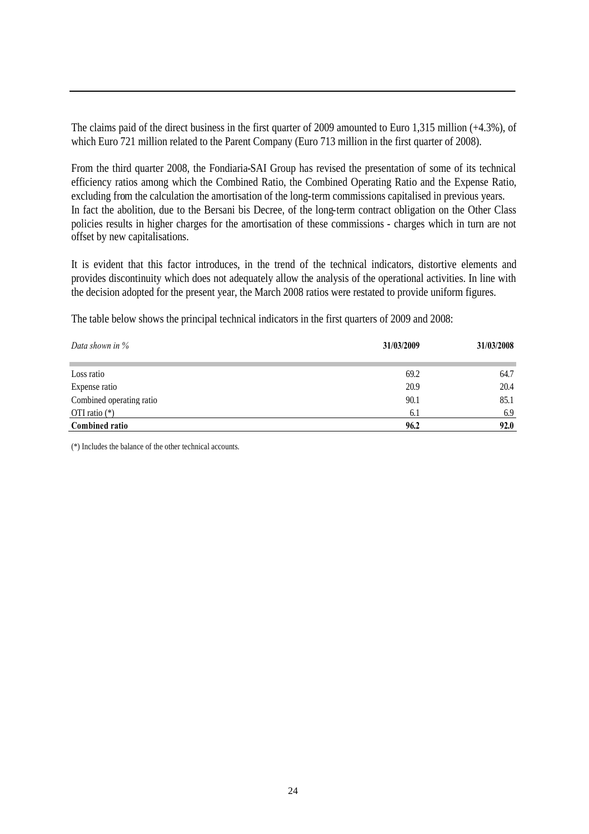The claims paid of the direct business in the first quarter of 2009 amounted to Euro 1,315 million (+4.3%), of which Euro 721 million related to the Parent Company (Euro 713 million in the first quarter of 2008).

From the third quarter 2008, the Fondiaria-SAI Group has revised the presentation of some of its technical efficiency ratios among which the Combined Ratio, the Combined Operating Ratio and the Expense Ratio, excluding from the calculation the amortisation of the long-term commissions capitalised in previous years. In fact the abolition, due to the Bersani bis Decree, of the long-term contract obligation on the Other Class policies results in higher charges for the amortisation of these commissions - charges which in turn are not offset by new capitalisations.

It is evident that this factor introduces, in the trend of the technical indicators, distortive elements and provides discontinuity which does not adequately allow the analysis of the operational activities. In line with the decision adopted for the present year, the March 2008 ratios were restated to provide uniform figures.

The table below shows the principal technical indicators in the first quarters of 2009 and 2008:

| Data shown in $\%$       | 31/03/2009 | 31/03/2008 |  |
|--------------------------|------------|------------|--|
| Loss ratio               | 69.2       | 64.7       |  |
| Expense ratio            | 20.9       | 20.4       |  |
| Combined operating ratio | 90.1       | 85.1       |  |
| OTI ratio $(*)$          | 6.1        | 6.9        |  |
| <b>Combined ratio</b>    | 96.2       | 92.0       |  |

(\*) Includes the balance of the other technical accounts.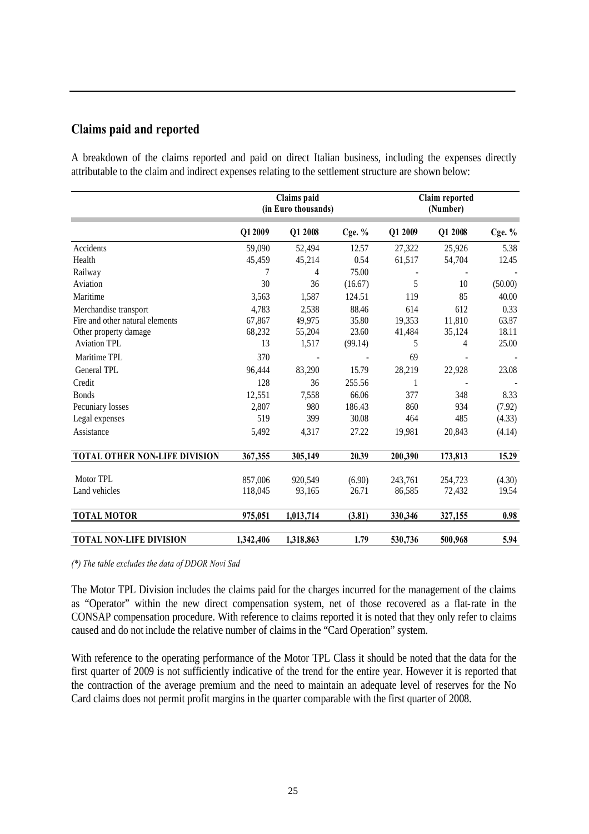# **Claims paid and reported**

A breakdown of the claims reported and paid on direct Italian business, including the expenses directly attributable to the claim and indirect expenses relating to the settlement structure are shown below:

|                                                          |                 | Claims paid<br>(in Euro thousands) |                |               | Claim reported<br>(Number) |               |
|----------------------------------------------------------|-----------------|------------------------------------|----------------|---------------|----------------------------|---------------|
|                                                          | Q12009          | Q1 2008                            | Cge. $%$       | Q1 2009       | Q1 2008                    | Cge. $%$      |
| Accidents                                                | 59,090          | 52,494                             | 12.57          | 27,322        | 25,926                     | 5.38          |
| Health                                                   | 45,459          | 45,214                             | 0.54           | 61,517        | 54,704                     | 12.45         |
| Railway                                                  |                 | 4                                  | 75.00          |               |                            |               |
| Aviation                                                 | 30              | 36                                 | (16.67)        | 5             | 10                         | (50.00)       |
| Maritime                                                 | 3,563           | 1,587                              | 124.51         | 119           | 85                         | 40.00         |
| Merchandise transport<br>Fire and other natural elements | 4,783<br>67,867 | 2,538<br>49,975                    | 88.46<br>35.80 | 614<br>19,353 | 612<br>11,810              | 0.33<br>63.87 |
| Other property damage                                    | 68,232          | 55,204                             | 23.60          | 41,484        | 35,124                     | 18.11         |
| <b>Aviation TPL</b>                                      | 13              | 1,517                              | (99.14)        | 5             | 4                          | 25.00         |
| Maritime TPL                                             | 370             |                                    |                | 69            |                            |               |
| General TPL                                              | 96,444          | 83,290                             | 15.79          | 28,219        | 22,928                     | 23.08         |
| Credit                                                   | 128             | 36                                 | 255.56         | 1             |                            |               |
| <b>Bonds</b>                                             | 12,551          | 7,558                              | 66.06          | 377           | 348                        | 8.33          |
| Pecuniary losses                                         | 2,807           | 980                                | 186.43         | 860           | 934                        | (7.92)        |
| Legal expenses                                           | 519             | 399                                | 30.08          | 464           | 485                        | (4.33)        |
| Assistance                                               | 5,492           | 4,317                              | 27.22          | 19,981        | 20,843                     | (4.14)        |
| TOTAL OTHER NON-LIFE DIVISION                            | 367,355         | 305,149                            | 20.39          | 200,390       | 173,813                    | 15.29         |
| Motor TPL                                                | 857,006         | 920,549                            | (6.90)         | 243,761       | 254,723                    | (4.30)        |
| Land vehicles                                            | 118,045         | 93,165                             | 26.71          | 86,585        | 72,432                     | 19.54         |
| <b>TOTAL MOTOR</b>                                       | 975,051         | 1,013,714                          | (3.81)         | 330,346       | 327,155                    | 0.98          |
| <b>TOTAL NON-LIFE DIVISION</b>                           | 1,342,406       | 1,318,863                          | 1.79           | 530,736       | 500,968                    | 5.94          |

*(\*) The table excludes the data of DDOR Novi Sad*

The Motor TPL Division includes the claims paid for the charges incurred for the management of the claims as "Operator" within the new direct compensation system, net of those recovered as a flat-rate in the CONSAP compensation procedure. With reference to claims reported it is noted that they only refer to claims caused and do not include the relative number of claims in the "Card Operation" system.

With reference to the operating performance of the Motor TPL Class it should be noted that the data for the first quarter of 2009 is not sufficiently indicative of the trend for the entire year. However it is reported that the contraction of the average premium and the need to maintain an adequate level of reserves for the No Card claims does not permit profit margins in the quarter comparable with the first quarter of 2008.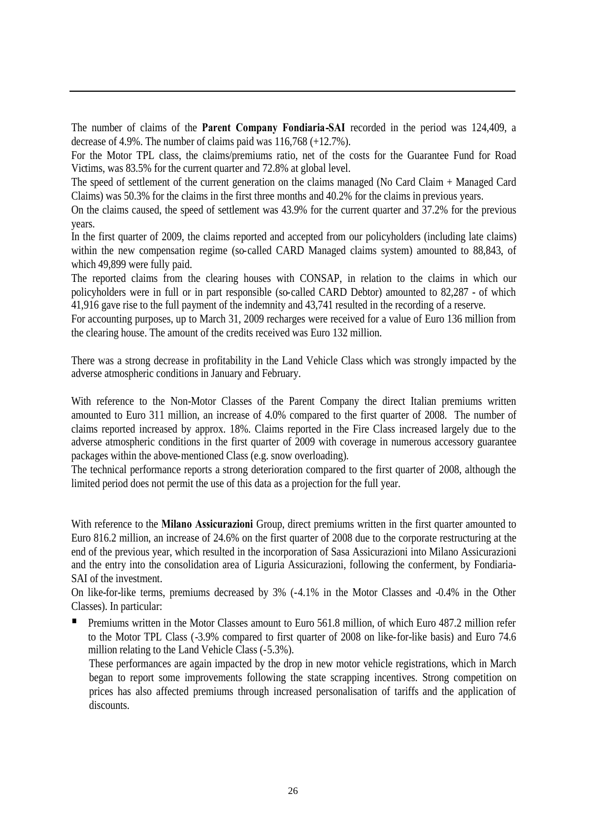The number of claims of the **Parent Company Fondiaria-SAI** recorded in the period was 124,409, a decrease of 4.9%. The number of claims paid was 116,768 (+12.7%).

For the Motor TPL class, the claims/premiums ratio, net of the costs for the Guarantee Fund for Road Victims, was 83.5% for the current quarter and 72.8% at global level.

The speed of settlement of the current generation on the claims managed (No Card Claim + Managed Card Claims) was 50.3% for the claims in the first three months and 40.2% for the claims in previous years.

On the claims caused, the speed of settlement was 43.9% for the current quarter and 37.2% for the previous years.

In the first quarter of 2009, the claims reported and accepted from our policyholders (including late claims) within the new compensation regime (so-called CARD Managed claims system) amounted to 88,843, of which 49,899 were fully paid.

The reported claims from the clearing houses with CONSAP, in relation to the claims in which our policyholders were in full or in part responsible (so-called CARD Debtor) amounted to 82,287 - of which 41,916 gave rise to the full payment of the indemnity and 43,741 resulted in the recording of a reserve.

For accounting purposes, up to March 31, 2009 recharges were received for a value of Euro 136 million from the clearing house. The amount of the credits received was Euro 132 million.

There was a strong decrease in profitability in the Land Vehicle Class which was strongly impacted by the adverse atmospheric conditions in January and February.

With reference to the Non-Motor Classes of the Parent Company the direct Italian premiums written amounted to Euro 311 million, an increase of 4.0% compared to the first quarter of 2008. The number of claims reported increased by approx. 18%. Claims reported in the Fire Class increased largely due to the adverse atmospheric conditions in the first quarter of 2009 with coverage in numerous accessory guarantee packages within the above-mentioned Class (e.g. snow overloading).

The technical performance reports a strong deterioration compared to the first quarter of 2008, although the limited period does not permit the use of this data as a projection for the full year.

With reference to the **Milano Assicurazioni** Group, direct premiums written in the first quarter amounted to Euro 816.2 million, an increase of 24.6% on the first quarter of 2008 due to the corporate restructuring at the end of the previous year, which resulted in the incorporation of Sasa Assicurazioni into Milano Assicurazioni and the entry into the consolidation area of Liguria Assicurazioni, following the conferment, by Fondiaria-SAI of the investment.

On like-for-like terms, premiums decreased by 3% (-4.1% in the Motor Classes and -0.4% in the Other Classes). In particular:

 Premiums written in the Motor Classes amount to Euro 561.8 million, of which Euro 487.2 million refer to the Motor TPL Class (-3.9% compared to first quarter of 2008 on like-for-like basis) and Euro 74.6 million relating to the Land Vehicle Class (-5.3%).

These performances are again impacted by the drop in new motor vehicle registrations, which in March began to report some improvements following the state scrapping incentives. Strong competition on prices has also affected premiums through increased personalisation of tariffs and the application of discounts.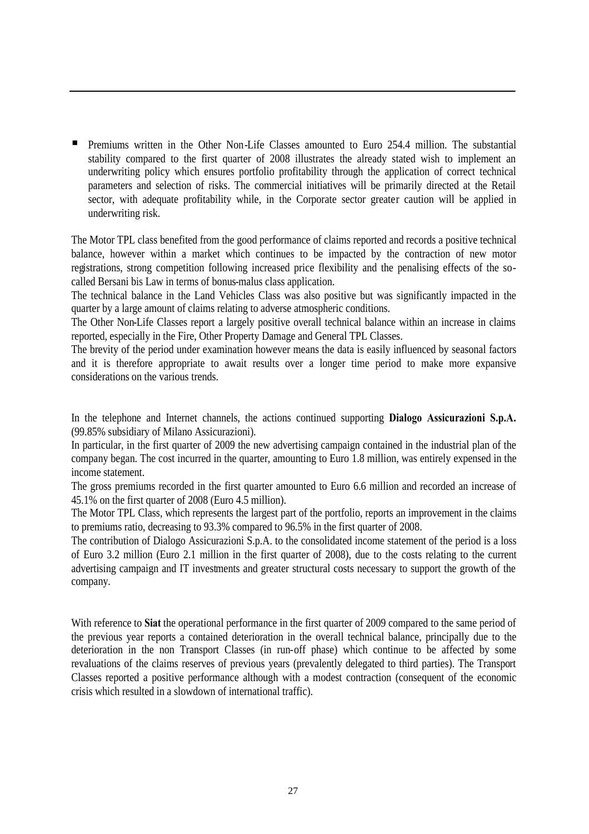Premiums written in the Other Non-Life Classes amounted to Euro 254.4 million. The substantial stability compared to the first quarter of 2008 illustrates the already stated wish to implement an underwriting policy which ensures portfolio profitability through the application of correct technical parameters and selection of risks. The commercial initiatives will be primarily directed at the Retail sector, with adequate profitability while, in the Corporate sector greater caution will be applied in underwriting risk.

The Motor TPL class benefited from the good performance of claims reported and records a positive technical balance, however within a market which continues to be impacted by the contraction of new motor registrations, strong competition following increased price flexibility and the penalising effects of the socalled Bersani bis Law in terms of bonus-malus class application.

The technical balance in the Land Vehicles Class was also positive but was significantly impacted in the quarter by a large amount of claims relating to adverse atmospheric conditions.

The Other Non-Life Classes report a largely positive overall technical balance within an increase in claims reported, especially in the Fire, Other Property Damage and General TPL Classes.

The brevity of the period under examination however means the data is easily influenced by seasonal factors and it is therefore appropriate to await results over a longer time period to make more expansive considerations on the various trends.

In the telephone and Internet channels, the actions continued supporting **Dialogo Assicurazioni S.p.A.** (99.85% subsidiary of Milano Assicurazioni).

In particular, in the first quarter of 2009 the new advertising campaign contained in the industrial plan of the company began. The cost incurred in the quarter, amounting to Euro 1.8 million, was entirely expensed in the income statement.

The gross premiums recorded in the first quarter amounted to Euro 6.6 million and recorded an increase of 45.1% on the first quarter of 2008 (Euro 4.5 million).

The Motor TPL Class, which represents the largest part of the portfolio, reports an improvement in the claims to premiums ratio, decreasing to 93.3% compared to 96.5% in the first quarter of 2008.

The contribution of Dialogo Assicurazioni S.p.A. to the consolidated income statement of the period is a loss of Euro 3.2 million (Euro 2.1 million in the first quarter of 2008), due to the costs relating to the current advertising campaign and IT investments and greater structural costs necessary to support the growth of the company.

With reference to **Siat** the operational performance in the first quarter of 2009 compared to the same period of the previous year reports a contained deterioration in the overall technical balance, principally due to the deterioration in the non Transport Classes (in run-off phase) which continue to be affected by some revaluations of the claims reserves of previous years (prevalently delegated to third parties). The Transport Classes reported a positive performance although with a modest contraction (consequent of the economic crisis which resulted in a slowdown of international traffic).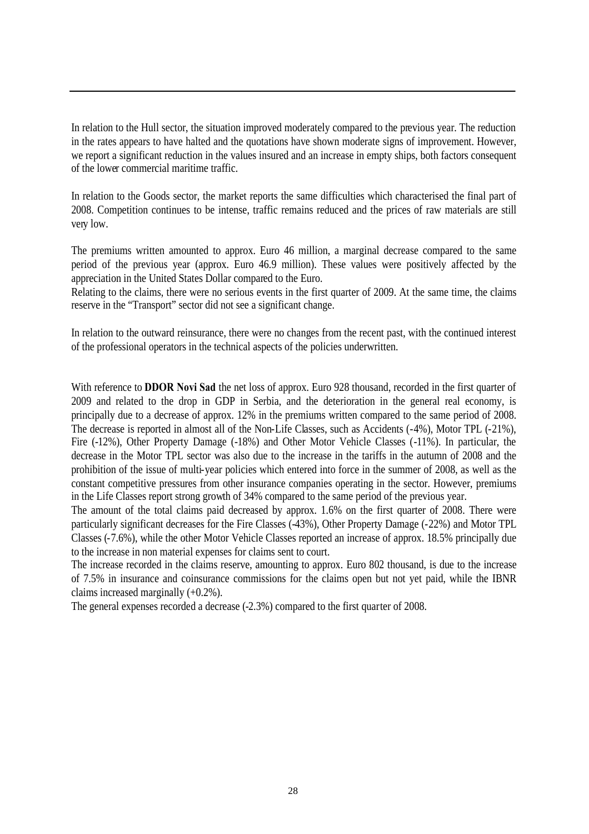In relation to the Hull sector, the situation improved moderately compared to the previous year. The reduction in the rates appears to have halted and the quotations have shown moderate signs of improvement. However, we report a significant reduction in the values insured and an increase in empty ships, both factors consequent of the lower commercial maritime traffic.

In relation to the Goods sector, the market reports the same difficulties which characterised the final part of 2008. Competition continues to be intense, traffic remains reduced and the prices of raw materials are still very low.

The premiums written amounted to approx. Euro 46 million, a marginal decrease compared to the same period of the previous year (approx. Euro 46.9 million). These values were positively affected by the appreciation in the United States Dollar compared to the Euro.

Relating to the claims, there were no serious events in the first quarter of 2009. At the same time, the claims reserve in the "Transport" sector did not see a significant change.

In relation to the outward reinsurance, there were no changes from the recent past, with the continued interest of the professional operators in the technical aspects of the policies underwritten.

With reference to **DDOR Novi Sad** the net loss of approx. Euro 928 thousand, recorded in the first quarter of 2009 and related to the drop in GDP in Serbia, and the deterioration in the general real economy, is principally due to a decrease of approx. 12% in the premiums written compared to the same period of 2008. The decrease is reported in almost all of the Non-Life Classes, such as Accidents (-4%), Motor TPL (-21%), Fire (-12%), Other Property Damage (-18%) and Other Motor Vehicle Classes (-11%). In particular, the decrease in the Motor TPL sector was also due to the increase in the tariffs in the autumn of 2008 and the prohibition of the issue of multi-year policies which entered into force in the summer of 2008, as well as the constant competitive pressures from other insurance companies operating in the sector. However, premiums in the Life Classes report strong growth of 34% compared to the same period of the previous year.

The amount of the total claims paid decreased by approx. 1.6% on the first quarter of 2008. There were particularly significant decreases for the Fire Classes (-43%), Other Property Damage (-22%) and Motor TPL Classes (-7.6%), while the other Motor Vehicle Classes reported an increase of approx. 18.5% principally due to the increase in non material expenses for claims sent to court.

The increase recorded in the claims reserve, amounting to approx. Euro 802 thousand, is due to the increase of 7.5% in insurance and coinsurance commissions for the claims open but not yet paid, while the IBNR claims increased marginally (+0.2%).

The general expenses recorded a decrease (-2.3%) compared to the first quarter of 2008.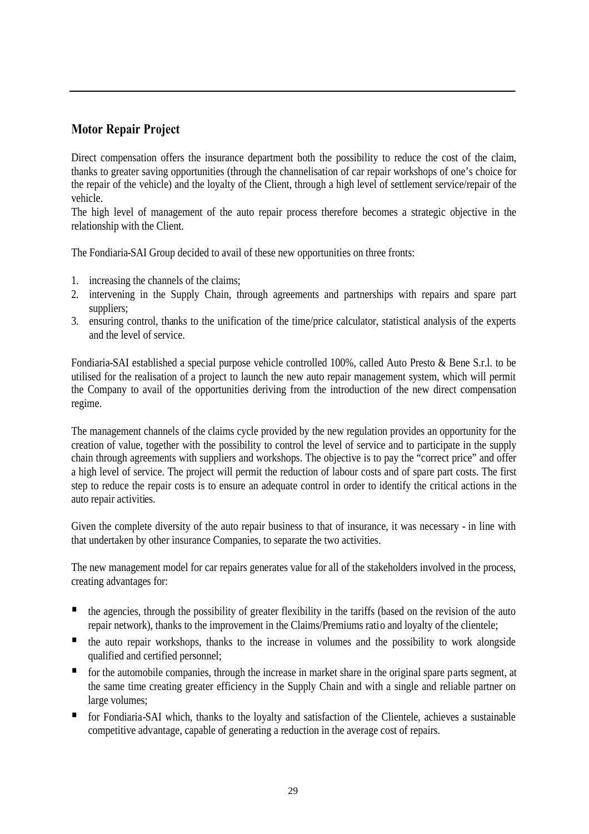# **Motor Repair Project**

Direct compensation offers the insurance department both the possibility to reduce the cost of the claim, thanks to greater saving opportunities (through the channelisation of car repair workshops of one's choice for the repair of the vehicle) and the loyalty of the Client, through a high level of settlement service/repair of the vehicle.

The high level of management of the auto repair process therefore becomes a strategic objective in the relationship with the Client.

The Fondiaria-SAI Group decided to avail of these new opportunities on three fronts:

- 1. increasing the channels of the claims;
- 2. intervening in the Supply Chain, through agreements and partnerships with repairs and spare part suppliers;
- 3. ensuring control, thanks to the unification of the time/price calculator, statistical analysis of the experts and the level of service.

Fondiaria-SAI established a special purpose vehicle controlled 100%, called Auto Presto & Bene S.r.l. to be utilised for the realisation of a project to launch the new auto repair management system, which will permit the Company to avail of the opportunities deriving from the introduction of the new direct compensation regime.

The management channels of the claims cycle provided by the new regulation provides an opportunity for the creation of value, together with the possibility to control the level of service and to participate in the supply chain through agreements with suppliers and workshops. The objective is to pay the "correct price" and offer a high level of service. The project will permit the reduction of labour costs and of spare part costs. The first step to reduce the repair costs is to ensure an adequate control in order to identify the critical actions in the auto repair activities.

Given the complete diversity of the auto repair business to that of insurance, it was necessary - in line with that undertaken by other insurance Companies, to separate the two activities.

The new management model for car repairs generates value for all of the stakeholders involved in the process, creating advantages for:

- **the agencies, through the possibility of greater flexibility in the tariffs (based on the revision of the auto** repair network), thanks to the improvement in the Claims/Premiums ratio and loyalty of the clientele;
- the auto repair workshops, thanks to the increase in volumes and the possibility to work alongside qualified and certified personnel;
- for the automobile companies, through the increase in market share in the original spare parts segment, at the same time creating greater efficiency in the Supply Chain and with a single and reliable partner on large volumes:
- for Fondiaria-SAI which, thanks to the loyalty and satisfaction of the Clientele, achieves a sustainable competitive advantage, capable of generating a reduction in the average cost of repairs.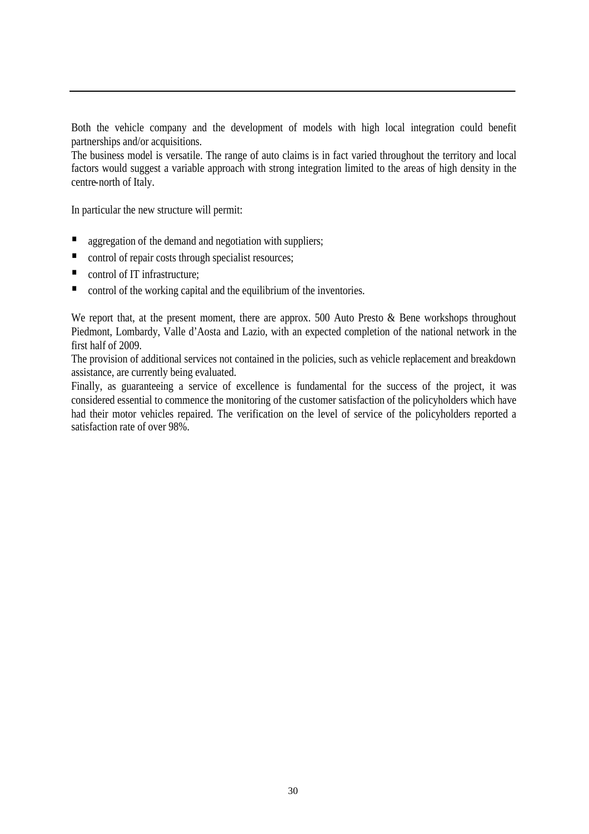Both the vehicle company and the development of models with high local integration could benefit partnerships and/or acquisitions.

The business model is versatile. The range of auto claims is in fact varied throughout the territory and local factors would suggest a variable approach with strong integration limited to the areas of high density in the centre-north of Italy.

In particular the new structure will permit:

- aggregation of the demand and negotiation with suppliers;
- control of repair costs through specialist resources;
- control of IT infrastructure;
- control of the working capital and the equilibrium of the inventories.

We report that, at the present moment, there are approx. 500 Auto Presto & Bene workshops throughout Piedmont, Lombardy, Valle d'Aosta and Lazio, with an expected completion of the national network in the first half of 2009.

The provision of additional services not contained in the policies, such as vehicle replacement and breakdown assistance, are currently being evaluated.

Finally, as guaranteeing a service of excellence is fundamental for the success of the project, it was considered essential to commence the monitoring of the customer satisfaction of the policyholders which have had their motor vehicles repaired. The verification on the level of service of the policyholders reported a satisfaction rate of over 98%.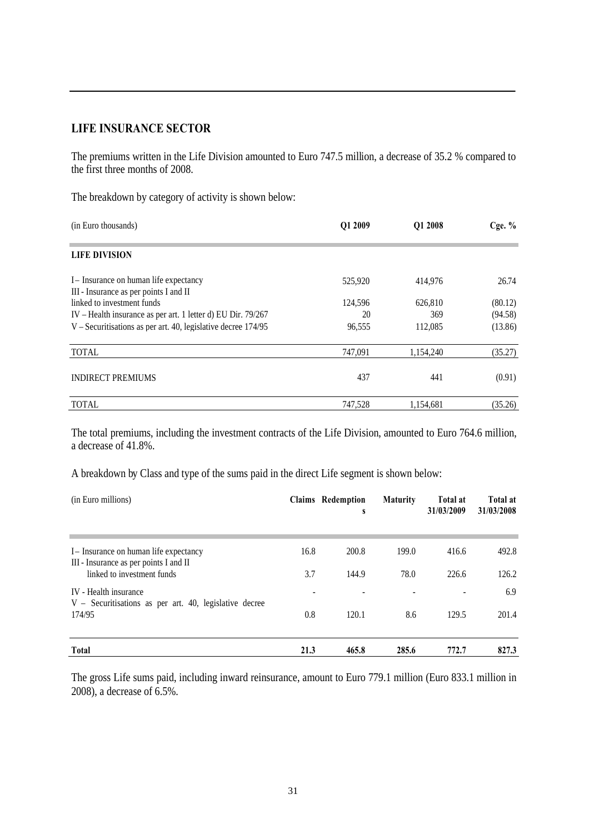#### **LIFE INSURANCE SECTOR**

The premiums written in the Life Division amounted to Euro 747.5 million, a decrease of 35.2 % compared to the first three months of 2008.

The breakdown by category of activity is shown below:

| (in Euro thousands)                                           | Q1 2009 | Q1 2008   | Cge. $%$ |
|---------------------------------------------------------------|---------|-----------|----------|
| <b>LIFE DIVISION</b>                                          |         |           |          |
| I – Insurance on human life expectancy                        | 525,920 | 414,976   | 26.74    |
| III - Insurance as per points I and II                        |         |           |          |
| linked to investment funds                                    | 124,596 | 626,810   | (80.12)  |
| IV - Health insurance as per art. 1 letter d) EU Dir. 79/267  | 20      | 369       | (94.58)  |
| V – Securitisations as per art. 40, legislative decree 174/95 | 96,555  | 112,085   | (13.86)  |
| <b>TOTAL</b>                                                  | 747,091 | 1.154.240 | (35.27)  |
| <b>INDIRECT PREMIUMS</b>                                      | 437     | 441       | (0.91)   |
| <b>TOTAL</b>                                                  | 747.528 | 1.154.681 | (35.26)  |

The total premiums, including the investment contracts of the Life Division, amounted to Euro 764.6 million, a decrease of 41.8%.

A breakdown by Class and type of the sums paid in the direct Life segment is shown below:

| (in Euro millions)                                                               |      | Claims Redemption<br>S | <b>Maturity</b> | <b>Total at</b><br>31/03/2009 | <b>Total at</b><br>31/03/2008 |
|----------------------------------------------------------------------------------|------|------------------------|-----------------|-------------------------------|-------------------------------|
| I – Insurance on human life expectancy<br>III - Insurance as per points I and II | 16.8 | 200.8                  | 199.0           | 416.6                         | 492.8                         |
| linked to investment funds                                                       | 3.7  | 144.9                  | 78.0            | 226.6                         | 126.2                         |
| IV - Health insurance<br>V – Securitisations as per art. 40, legislative decree  |      |                        |                 |                               | 6.9                           |
| 174/95                                                                           | 0.8  | 120.1                  | 8.6             | 129.5                         | 201.4                         |
| <b>Total</b>                                                                     | 21.3 | 465.8                  | 285.6           | 772.7                         | 827.3                         |

The gross Life sums paid, including inward reinsurance, amount to Euro 779.1 million (Euro 833.1 million in 2008), a decrease of 6.5%.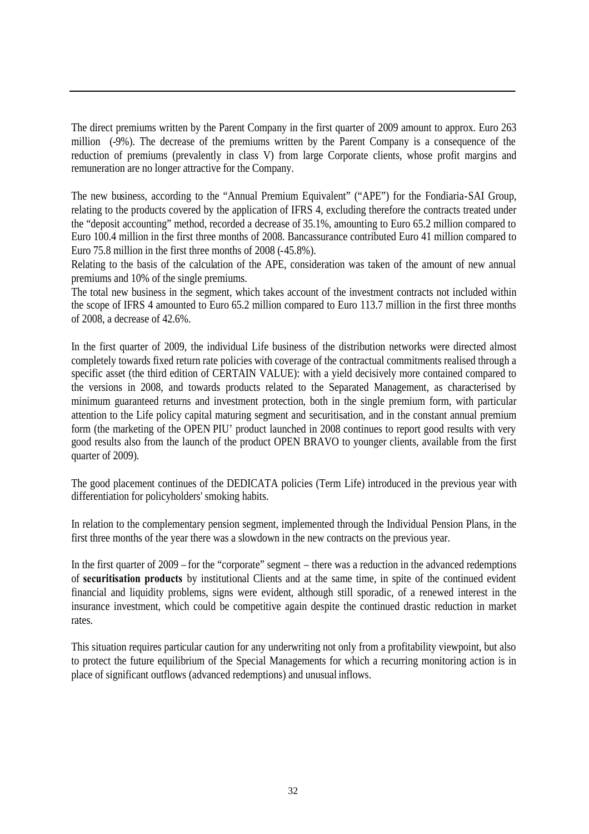The direct premiums written by the Parent Company in the first quarter of 2009 amount to approx. Euro 263 million (-9%). The decrease of the premiums written by the Parent Company is a consequence of the reduction of premiums (prevalently in class V) from large Corporate clients, whose profit margins and remuneration are no longer attractive for the Company.

The new business, according to the "Annual Premium Equivalent" ("APE") for the Fondiaria-SAI Group, relating to the products covered by the application of IFRS 4, excluding therefore the contracts treated under the "deposit accounting" method, recorded a decrease of 35.1%, amounting to Euro 65.2 million compared to Euro 100.4 million in the first three months of 2008. Bancassurance contributed Euro 41 million compared to Euro 75.8 million in the first three months of 2008 (-45.8%).

Relating to the basis of the calculation of the APE, consideration was taken of the amount of new annual premiums and 10% of the single premiums.

The total new business in the segment, which takes account of the investment contracts not included within the scope of IFRS 4 amounted to Euro 65.2 million compared to Euro 113.7 million in the first three months of 2008, a decrease of 42.6%.

In the first quarter of 2009, the individual Life business of the distribution networks were directed almost completely towards fixed return rate policies with coverage of the contractual commitments realised through a specific asset (the third edition of CERTAIN VALUE): with a yield decisively more contained compared to the versions in 2008, and towards products related to the Separated Management, as characterised by minimum guaranteed returns and investment protection, both in the single premium form, with particular attention to the Life policy capital maturing segment and securitisation, and in the constant annual premium form (the marketing of the OPEN PIU' product launched in 2008 continues to report good results with very good results also from the launch of the product OPEN BRAVO to younger clients, available from the first quarter of 2009).

The good placement continues of the DEDICATA policies (Term Life) introduced in the previous year with differentiation for policyholders' smoking habits.

In relation to the complementary pension segment, implemented through the Individual Pension Plans, in the first three months of the year there was a slowdown in the new contracts on the previous year.

In the first quarter of 2009 – for the "corporate" segment – there was a reduction in the advanced redemptions of **securitisation products** by institutional Clients and at the same time, in spite of the continued evident financial and liquidity problems, signs were evident, although still sporadic, of a renewed interest in the insurance investment, which could be competitive again despite the continued drastic reduction in market rates.

This situation requires particular caution for any underwriting not only from a profitability viewpoint, but also to protect the future equilibrium of the Special Managements for which a recurring monitoring action is in place of significant outflows (advanced redemptions) and unusual inflows.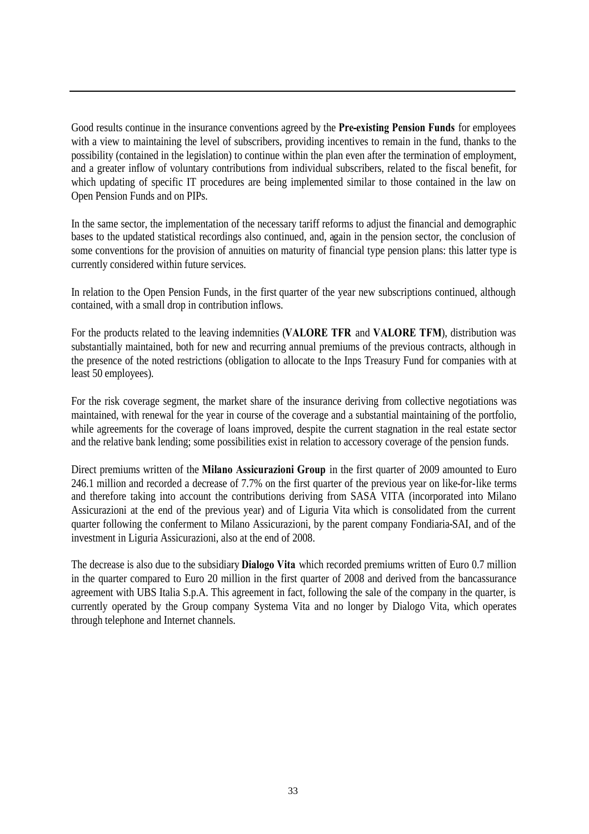Good results continue in the insurance conventions agreed by the **Pre-existing Pension Funds** for employees with a view to maintaining the level of subscribers, providing incentives to remain in the fund, thanks to the possibility (contained in the legislation) to continue within the plan even after the termination of employment, and a greater inflow of voluntary contributions from individual subscribers, related to the fiscal benefit, for which updating of specific IT procedures are being implemented similar to those contained in the law on Open Pension Funds and on PIPs.

In the same sector, the implementation of the necessary tariff reforms to adjust the financial and demographic bases to the updated statistical recordings also continued, and, again in the pension sector, the conclusion of some conventions for the provision of annuities on maturity of financial type pension plans: this latter type is currently considered within future services.

In relation to the Open Pension Funds, in the first quarter of the year new subscriptions continued, although contained, with a small drop in contribution inflows.

For the products related to the leaving indemnities (**VALORE TFR** and **VALORE TFM**), distribution was substantially maintained, both for new and recurring annual premiums of the previous contracts, although in the presence of the noted restrictions (obligation to allocate to the Inps Treasury Fund for companies with at least 50 employees).

For the risk coverage segment, the market share of the insurance deriving from collective negotiations was maintained, with renewal for the year in course of the coverage and a substantial maintaining of the portfolio, while agreements for the coverage of loans improved, despite the current stagnation in the real estate sector and the relative bank lending; some possibilities exist in relation to accessory coverage of the pension funds.

Direct premiums written of the **Milano Assicurazioni Group** in the first quarter of 2009 amounted to Euro 246.1 million and recorded a decrease of 7.7% on the first quarter of the previous year on like-for-like terms and therefore taking into account the contributions deriving from SASA VITA (incorporated into Milano Assicurazioni at the end of the previous year) and of Liguria Vita which is consolidated from the current quarter following the conferment to Milano Assicurazioni, by the parent company Fondiaria-SAI, and of the investment in Liguria Assicurazioni, also at the end of 2008.

The decrease is also due to the subsidiary **Dialogo Vita** which recorded premiums written of Euro 0.7 million in the quarter compared to Euro 20 million in the first quarter of 2008 and derived from the bancassurance agreement with UBS Italia S.p.A. This agreement in fact, following the sale of the company in the quarter, is currently operated by the Group company Systema Vita and no longer by Dialogo Vita, which operates through telephone and Internet channels.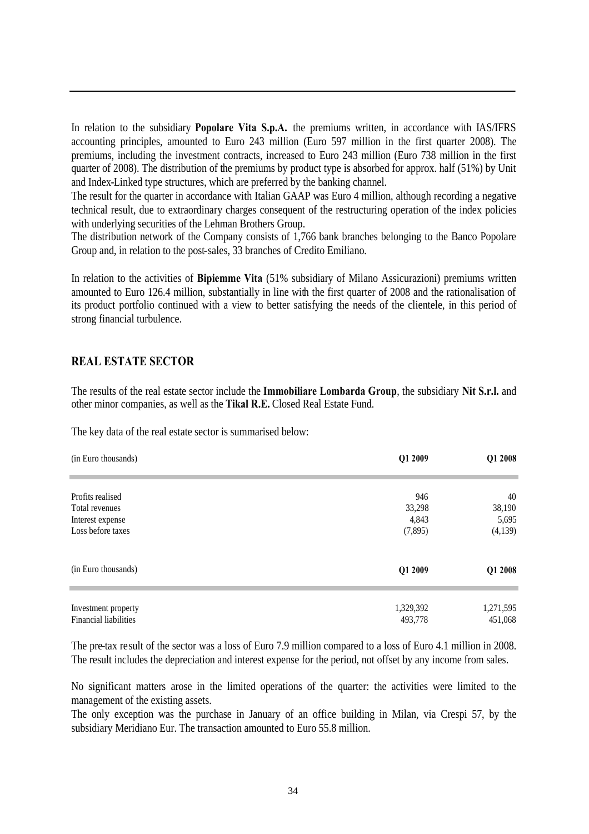In relation to the subsidiary **Popolare Vita S.p.A.** the premiums written, in accordance with IAS/IFRS accounting principles, amounted to Euro 243 million (Euro 597 million in the first quarter 2008). The premiums, including the investment contracts, increased to Euro 243 million (Euro 738 million in the first quarter of 2008). The distribution of the premiums by product type is absorbed for approx. half (51%) by Unit and Index-Linked type structures, which are preferred by the banking channel.

The result for the quarter in accordance with Italian GAAP was Euro 4 million, although recording a negative technical result, due to extraordinary charges consequent of the restructuring operation of the index policies with underlying securities of the Lehman Brothers Group.

The distribution network of the Company consists of 1,766 bank branches belonging to the Banco Popolare Group and, in relation to the post-sales, 33 branches of Credito Emiliano.

In relation to the activities of **Bipiemme Vita** (51% subsidiary of Milano Assicurazioni) premiums written amounted to Euro 126.4 million, substantially in line with the first quarter of 2008 and the rationalisation of its product portfolio continued with a view to better satisfying the needs of the clientele, in this period of strong financial turbulence.

#### **REAL ESTATE SECTOR**

The results of the real estate sector include the **Immobiliare Lombarda Group**, the subsidiary **Nit S.r.l.** and other minor companies, as well as the **Tikal R.E.** Closed Real Estate Fund.

The key data of the real estate sector is summarised below:

| (in Euro thousands)          | Q1 2009   | Q1 2008   |
|------------------------------|-----------|-----------|
| Profits realised             | 946       | 40        |
| Total revenues               | 33,298    | 38,190    |
| Interest expense             | 4,843     | 5,695     |
| Loss before taxes            | (7,895)   | (4,139)   |
| (in Euro thousands)          | Q1 2009   | Q1 2008   |
| Investment property          | 1,329,392 | 1,271,595 |
| <b>Financial liabilities</b> | 493,778   | 451,068   |

The pre-tax result of the sector was a loss of Euro 7.9 million compared to a loss of Euro 4.1 million in 2008. The result includes the depreciation and interest expense for the period, not offset by any income from sales.

No significant matters arose in the limited operations of the quarter: the activities were limited to the management of the existing assets.

The only exception was the purchase in January of an office building in Milan, via Crespi 57, by the subsidiary Meridiano Eur. The transaction amounted to Euro 55.8 million.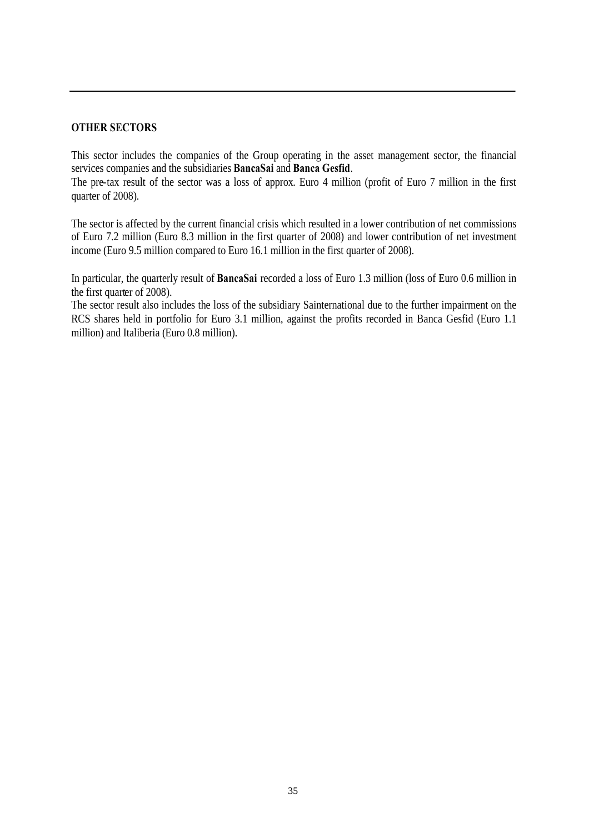#### **OTHER SECTORS**

This sector includes the companies of the Group operating in the asset management sector, the financial services companies and the subsidiaries **BancaSai** and **Banca Gesfid**.

The pre-tax result of the sector was a loss of approx. Euro 4 million (profit of Euro 7 million in the first quarter of 2008).

The sector is affected by the current financial crisis which resulted in a lower contribution of net commissions of Euro 7.2 million (Euro 8.3 million in the first quarter of 2008) and lower contribution of net investment income (Euro 9.5 million compared to Euro 16.1 million in the first quarter of 2008).

In particular, the quarterly result of **BancaSai** recorded a loss of Euro 1.3 million (loss of Euro 0.6 million in the first quarter of 2008).

The sector result also includes the loss of the subsidiary Sainternational due to the further impairment on the RCS shares held in portfolio for Euro 3.1 million, against the profits recorded in Banca Gesfid (Euro 1.1 million) and Italiberia (Euro 0.8 million).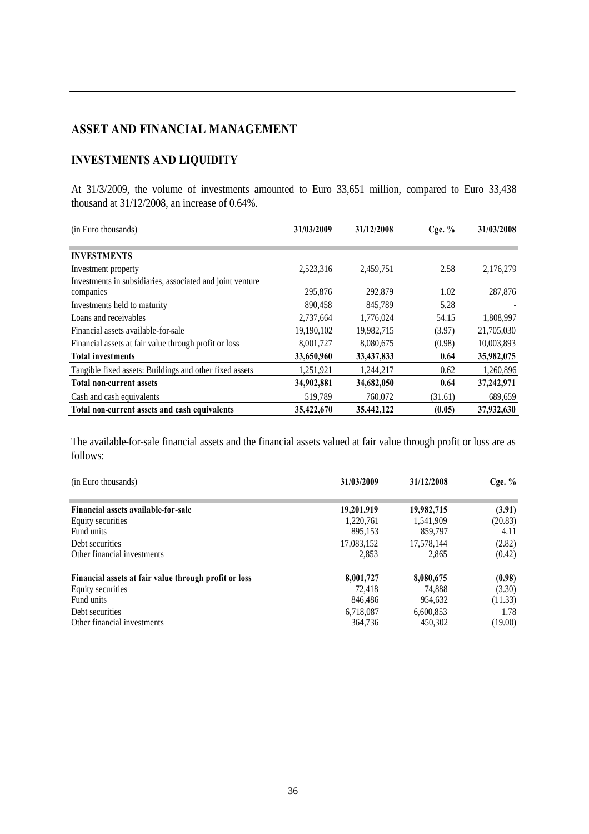# **ASSET AND FINANCIAL MANAGEMENT**

# **INVESTMENTS AND LIQUIDITY**

At 31/3/2009, the volume of investments amounted to Euro 33,651 million, compared to Euro 33,438 thousand at 31/12/2008, an increase of 0.64%.

| (in Euro thousands)                                       | 31/03/2009 | 31/12/2008 | $C$ ge. $%$ | 31/03/2008 |
|-----------------------------------------------------------|------------|------------|-------------|------------|
|                                                           |            |            |             |            |
| <b>INVESTMENTS</b>                                        |            |            |             |            |
| Investment property                                       | 2,523,316  | 2,459,751  | 2.58        | 2,176,279  |
| Investments in subsidiaries, associated and joint venture |            |            |             |            |
| companies                                                 | 295,876    | 292,879    | 1.02        | 287,876    |
| Investments held to maturity                              | 890,458    | 845.789    | 5.28        |            |
| Loans and receivables                                     | 2,737,664  | 1,776,024  | 54.15       | 1,808,997  |
| Financial assets available-for-sale                       | 19,190,102 | 19,982,715 | (3.97)      | 21,705,030 |
| Financial assets at fair value through profit or loss     | 8,001,727  | 8,080,675  | (0.98)      | 10,003,893 |
| <b>Total investments</b>                                  | 33,650,960 | 33,437,833 | 0.64        | 35,982,075 |
| Tangible fixed assets: Buildings and other fixed assets   | 1,251,921  | 1,244,217  | 0.62        | 1,260,896  |
| <b>Total non-current assets</b>                           | 34,902,881 | 34,682,050 | 0.64        | 37,242,971 |
| Cash and cash equivalents                                 | 519,789    | 760,072    | (31.61)     | 689,659    |
| Total non-current assets and cash equivalents             | 35,422,670 | 35,442,122 | (0.05)      | 37,932,630 |

The available-for-sale financial assets and the financial assets valued at fair value through profit or loss are as follows:

| (in Euro thousands)                                   | 31/03/2009 | 31/12/2008 | Cge. $%$ |
|-------------------------------------------------------|------------|------------|----------|
| Financial assets available-for-sale                   | 19,201,919 | 19,982,715 | (3.91)   |
| Equity securities                                     | 1,220,761  | 1,541,909  | (20.83)  |
| Fund units                                            | 895,153    | 859,797    | 4.11     |
| Debt securities                                       | 17,083,152 | 17,578,144 | (2.82)   |
| Other financial investments                           | 2.853      | 2.865      | (0.42)   |
| Financial assets at fair value through profit or loss | 8,001,727  | 8,080,675  | (0.98)   |
| Equity securities                                     | 72.418     | 74.888     | (3.30)   |
| Fund units                                            | 846,486    | 954.632    | (11.33)  |
| Debt securities                                       | 6.718.087  | 6,600,853  | 1.78     |
| Other financial investments                           | 364.736    | 450.302    | (19.00)  |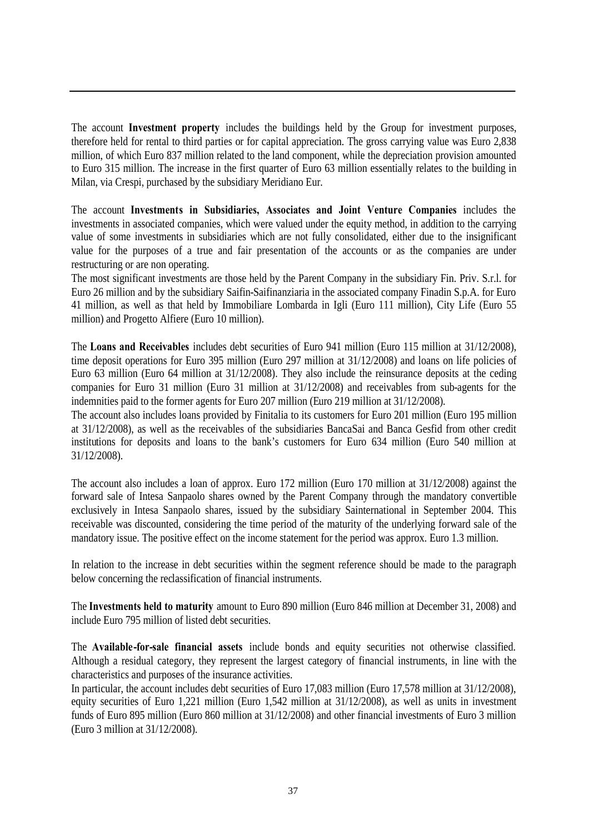The account **Investment property** includes the buildings held by the Group for investment purposes, therefore held for rental to third parties or for capital appreciation. The gross carrying value was Euro 2,838 million, of which Euro 837 million related to the land component, while the depreciation provision amounted to Euro 315 million. The increase in the first quarter of Euro 63 million essentially relates to the building in Milan, via Crespi, purchased by the subsidiary Meridiano Eur.

The account **Investments in Subsidiaries, Associates and Joint Venture Companies** includes the investments in associated companies, which were valued under the equity method, in addition to the carrying value of some investments in subsidiaries which are not fully consolidated, either due to the insignificant value for the purposes of a true and fair presentation of the accounts or as the companies are under restructuring or are non operating.

The most significant investments are those held by the Parent Company in the subsidiary Fin. Priv. S.r.l. for Euro 26 million and by the subsidiary Saifin-Saifinanziaria in the associated company Finadin S.p.A. for Euro 41 million, as well as that held by Immobiliare Lombarda in Igli (Euro 111 million), City Life (Euro 55 million) and Progetto Alfiere (Euro 10 million).

The **Loans and Receivables** includes debt securities of Euro 941 million (Euro 115 million at 31/12/2008), time deposit operations for Euro 395 million (Euro 297 million at 31/12/2008) and loans on life policies of Euro 63 million (Euro 64 million at 31/12/2008). They also include the reinsurance deposits at the ceding companies for Euro 31 million (Euro 31 million at 31/12/2008) and receivables from sub-agents for the indemnities paid to the former agents for Euro 207 million (Euro 219 million at 31/12/2008).

The account also includes loans provided by Finitalia to its customers for Euro 201 million (Euro 195 million at 31/12/2008), as well as the receivables of the subsidiaries BancaSai and Banca Gesfid from other credit institutions for deposits and loans to the bank's customers for Euro 634 million (Euro 540 million at 31/12/2008).

The account also includes a loan of approx. Euro 172 million (Euro 170 million at 31/12/2008) against the forward sale of Intesa Sanpaolo shares owned by the Parent Company through the mandatory convertible exclusively in Intesa Sanpaolo shares, issued by the subsidiary Sainternational in September 2004. This receivable was discounted, considering the time period of the maturity of the underlying forward sale of the mandatory issue. The positive effect on the income statement for the period was approx. Euro 1.3 million.

In relation to the increase in debt securities within the segment reference should be made to the paragraph below concerning the reclassification of financial instruments.

The **Investments held to maturity** amount to Euro 890 million (Euro 846 million at December 31, 2008) and include Euro 795 million of listed debt securities.

The **Available-for-sale financial assets** include bonds and equity securities not otherwise classified. Although a residual category, they represent the largest category of financial instruments, in line with the characteristics and purposes of the insurance activities.

In particular, the account includes debt securities of Euro 17,083 million (Euro 17,578 million at 31/12/2008), equity securities of Euro 1,221 million (Euro 1,542 million at 31/12/2008), as well as units in investment funds of Euro 895 million (Euro 860 million at 31/12/2008) and other financial investments of Euro 3 million (Euro 3 million at 31/12/2008).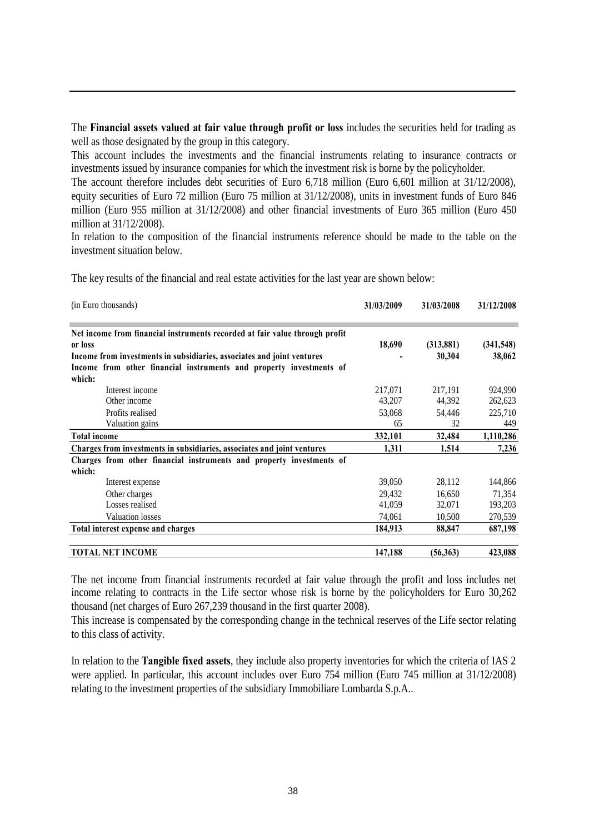The **Financial assets valued at fair value through profit or loss** includes the securities held for trading as well as those designated by the group in this category.

This account includes the investments and the financial instruments relating to insurance contracts or investments issued by insurance companies for which the investment risk is borne by the policyholder.

The account therefore includes debt securities of Euro 6,718 million (Euro 6,601 million at 31/12/2008), equity securities of Euro 72 million (Euro 75 million at 31/12/2008), units in investment funds of Euro 846 million (Euro 955 million at 31/12/2008) and other financial investments of Euro 365 million (Euro 450 million at 31/12/2008).

In relation to the composition of the financial instruments reference should be made to the table on the investment situation below.

The key results of the financial and real estate activities for the last year are shown below:

| (in Euro thousands)                                                                                                                                                                                                                     | 31/03/2009                        | 31/03/2008                        | 31/12/2008                           |
|-----------------------------------------------------------------------------------------------------------------------------------------------------------------------------------------------------------------------------------------|-----------------------------------|-----------------------------------|--------------------------------------|
| Net income from financial instruments recorded at fair value through profit<br>or loss<br>Income from investments in subsidiaries, associates and joint ventures<br>Income from other financial instruments and property investments of | 18,690                            | (313, 881)<br>30,304              | (341, 548)<br>38,062                 |
| which:<br>Interest income<br>Other income<br>Profits realised<br>Valuation gains                                                                                                                                                        | 217,071<br>43,207<br>53,068<br>65 | 217,191<br>44,392<br>54,446<br>32 | 924,990<br>262,623<br>225,710<br>449 |
| <b>Total income</b>                                                                                                                                                                                                                     | 332,101                           | 32,484                            | 1,110,286                            |
| Charges from investments in subsidiaries, associates and joint ventures                                                                                                                                                                 | 1,311                             | 1,514                             | 7,236                                |
| Charges from other financial instruments and property investments of<br>which:                                                                                                                                                          |                                   |                                   |                                      |
| Interest expense                                                                                                                                                                                                                        | 39,050                            | 28,112                            | 144,866                              |
| Other charges                                                                                                                                                                                                                           | 29,432                            | 16,650                            | 71,354                               |
| Losses realised                                                                                                                                                                                                                         | 41,059                            | 32,071                            | 193,203                              |
| <b>Valuation losses</b>                                                                                                                                                                                                                 | 74,061                            | 10,500                            | 270,539                              |
| Total interest expense and charges                                                                                                                                                                                                      | 184,913                           | 88,847                            | 687,198                              |
| <b>TOTAL NET INCOME</b>                                                                                                                                                                                                                 | 147,188                           | (56, 363)                         | 423,088                              |

The net income from financial instruments recorded at fair value through the profit and loss includes net income relating to contracts in the Life sector whose risk is borne by the policyholders for Euro 30,262 thousand (net charges of Euro 267,239 thousand in the first quarter 2008).

This increase is compensated by the corresponding change in the technical reserves of the Life sector relating to this class of activity.

In relation to the **Tangible fixed assets**, they include also property inventories for which the criteria of IAS 2 were applied. In particular, this account includes over Euro 754 million (Euro 745 million at 31/12/2008) relating to the investment properties of the subsidiary Immobiliare Lombarda S.p.A..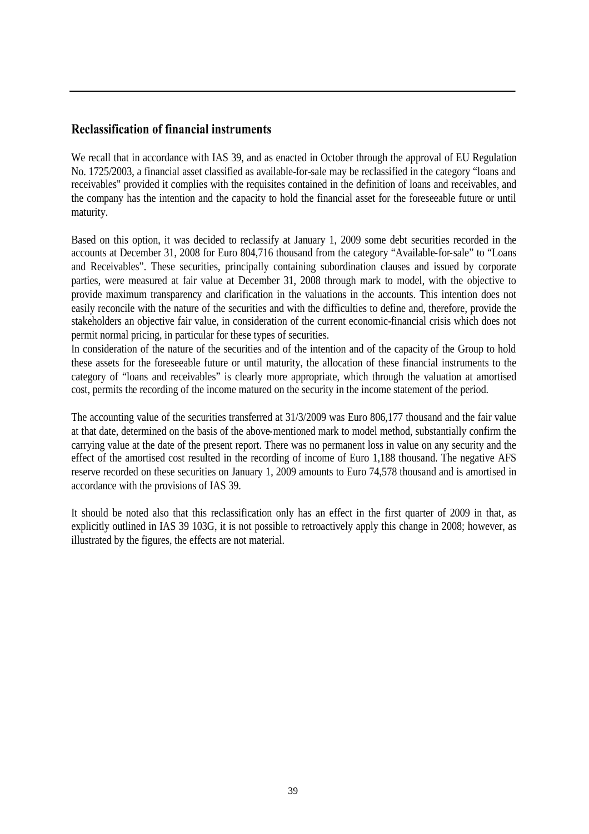## **Reclassification of financial instruments**

We recall that in accordance with IAS 39, and as enacted in October through the approval of EU Regulation No. 1725/2003, a financial asset classified as available-for-sale may be reclassified in the category "loans and receivables" provided it complies with the requisites contained in the definition of loans and receivables, and the company has the intention and the capacity to hold the financial asset for the foreseeable future or until maturity.

Based on this option, it was decided to reclassify at January 1, 2009 some debt securities recorded in the accounts at December 31, 2008 for Euro 804,716 thousand from the category "Available-for-sale" to "Loans and Receivables". These securities, principally containing subordination clauses and issued by corporate parties, were measured at fair value at December 31, 2008 through mark to model, with the objective to provide maximum transparency and clarification in the valuations in the accounts. This intention does not easily reconcile with the nature of the securities and with the difficulties to define and, therefore, provide the stakeholders an objective fair value, in consideration of the current economic-financial crisis which does not permit normal pricing, in particular for these types of securities.

In consideration of the nature of the securities and of the intention and of the capacity of the Group to hold these assets for the foreseeable future or until maturity, the allocation of these financial instruments to the category of "loans and receivables" is clearly more appropriate, which through the valuation at amortised cost, permits the recording of the income matured on the security in the income statement of the period.

The accounting value of the securities transferred at 31/3/2009 was Euro 806,177 thousand and the fair value at that date, determined on the basis of the above-mentioned mark to model method, substantially confirm the carrying value at the date of the present report. There was no permanent loss in value on any security and the effect of the amortised cost resulted in the recording of income of Euro 1,188 thousand. The negative AFS reserve recorded on these securities on January 1, 2009 amounts to Euro 74,578 thousand and is amortised in accordance with the provisions of IAS 39.

It should be noted also that this reclassification only has an effect in the first quarter of 2009 in that, as explicitly outlined in IAS 39 103G, it is not possible to retroactively apply this change in 2008; however, as illustrated by the figures, the effects are not material.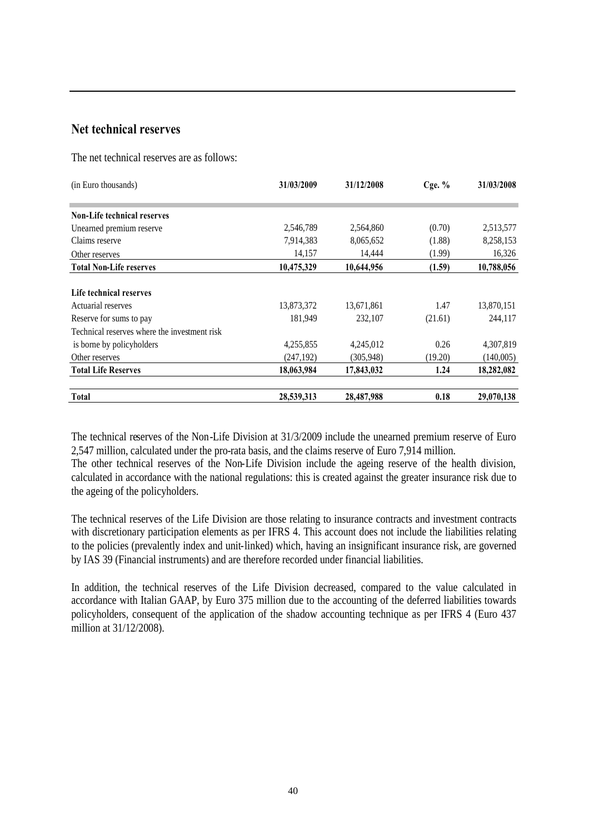# **Net technical reserves**

The net technical reserves are as follows:

| (in Euro thousands)                          | 31/03/2009 | 31/12/2008 | Cge. $%$ | 31/03/2008 |
|----------------------------------------------|------------|------------|----------|------------|
|                                              |            |            |          |            |
| <b>Non-Life technical reserves</b>           |            |            |          |            |
| Unearned premium reserve                     | 2,546,789  | 2,564,860  | (0.70)   | 2,513,577  |
| Claims reserve                               | 7,914,383  | 8,065,652  | (1.88)   | 8,258,153  |
| Other reserves                               | 14,157     | 14,444     | (1.99)   | 16,326     |
| <b>Total Non-Life reserves</b>               | 10,475,329 | 10,644,956 | (1.59)   | 10,788,056 |
|                                              |            |            |          |            |
| Life technical reserves                      |            |            |          |            |
| Actuarial reserves                           | 13,873,372 | 13,671,861 | 1.47     | 13,870,151 |
| Reserve for sums to pay                      | 181.949    | 232,107    | (21.61)  | 244,117    |
| Technical reserves where the investment risk |            |            |          |            |
| is borne by policyholders                    | 4,255,855  | 4,245,012  | 0.26     | 4,307,819  |
| Other reserves                               | (247, 192) | (305,948)  | (19.20)  | (140,005)  |
| <b>Total Life Reserves</b>                   | 18,063,984 | 17,843,032 | 1.24     | 18,282,082 |
| <b>Total</b>                                 | 28,539,313 | 28,487,988 | 0.18     | 29,070,138 |

The technical reserves of the Non-Life Division at 31/3/2009 include the unearned premium reserve of Euro 2,547 million, calculated under the pro-rata basis, and the claims reserve of Euro 7,914 million.

The other technical reserves of the Non-Life Division include the ageing reserve of the health division, calculated in accordance with the national regulations: this is created against the greater insurance risk due to the ageing of the policyholders.

The technical reserves of the Life Division are those relating to insurance contracts and investment contracts with discretionary participation elements as per IFRS 4. This account does not include the liabilities relating to the policies (prevalently index and unit-linked) which, having an insignificant insurance risk, are governed by IAS 39 (Financial instruments) and are therefore recorded under financial liabilities.

In addition, the technical reserves of the Life Division decreased, compared to the value calculated in accordance with Italian GAAP, by Euro 375 million due to the accounting of the deferred liabilities towards policyholders, consequent of the application of the shadow accounting technique as per IFRS 4 (Euro 437 million at 31/12/2008).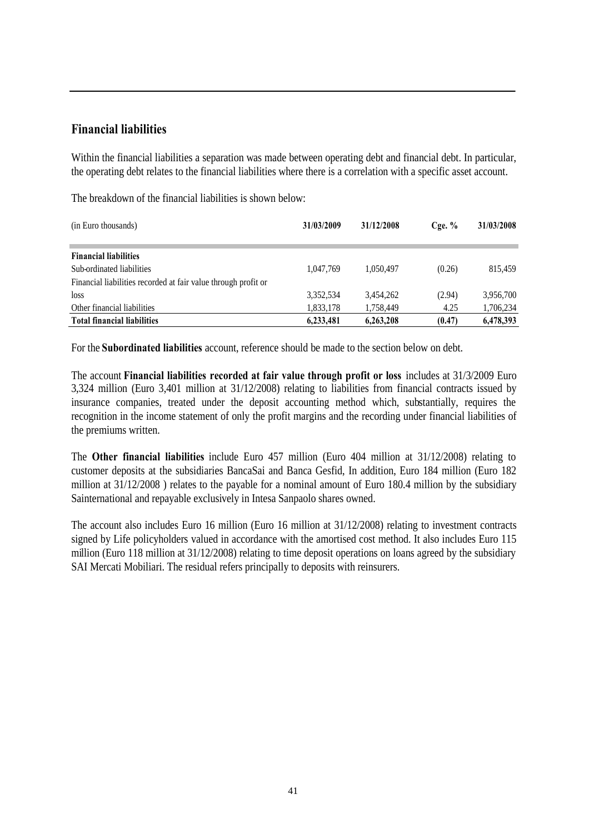# **Financial liabilities**

Within the financial liabilities a separation was made between operating debt and financial debt. In particular, the operating debt relates to the financial liabilities where there is a correlation with a specific asset account.

The breakdown of the financial liabilities is shown below:

| (in Euro thousands)                                            | 31/03/2009 | 31/12/2008 | $C$ ge. $%$ | 31/03/2008 |
|----------------------------------------------------------------|------------|------------|-------------|------------|
| <b>Financial liabilities</b>                                   |            |            |             |            |
| Sub-ordinated liabilities                                      | 1.047.769  | 1.050.497  | (0.26)      | 815,459    |
| Financial liabilities recorded at fair value through profit or |            |            |             |            |
| loss                                                           | 3,352,534  | 3.454.262  | (2.94)      | 3,956,700  |
| Other financial liabilities                                    | 1,833,178  | 1.758.449  | 4.25        | 1,706,234  |
| <b>Total financial liabilities</b>                             | 6,233,481  | 6,263,208  | (0.47)      | 6,478,393  |

For the **Subordinated liabilities** account, reference should be made to the section below on debt.

The account **Financial liabilities recorded at fair value through profit or loss** includes at 31/3/2009 Euro 3,324 million (Euro 3,401 million at 31/12/2008) relating to liabilities from financial contracts issued by insurance companies, treated under the deposit accounting method which, substantially, requires the recognition in the income statement of only the profit margins and the recording under financial liabilities of the premiums written.

The **Other financial liabilities** include Euro 457 million (Euro 404 million at 31/12/2008) relating to customer deposits at the subsidiaries BancaSai and Banca Gesfid, In addition, Euro 184 million (Euro 182 million at 31/12/2008 ) relates to the payable for a nominal amount of Euro 180.4 million by the subsidiary Sainternational and repayable exclusively in Intesa Sanpaolo shares owned.

The account also includes Euro 16 million (Euro 16 million at 31/12/2008) relating to investment contracts signed by Life policyholders valued in accordance with the amortised cost method. It also includes Euro 115 million (Euro 118 million at 31/12/2008) relating to time deposit operations on loans agreed by the subsidiary SAI Mercati Mobiliari. The residual refers principally to deposits with reinsurers.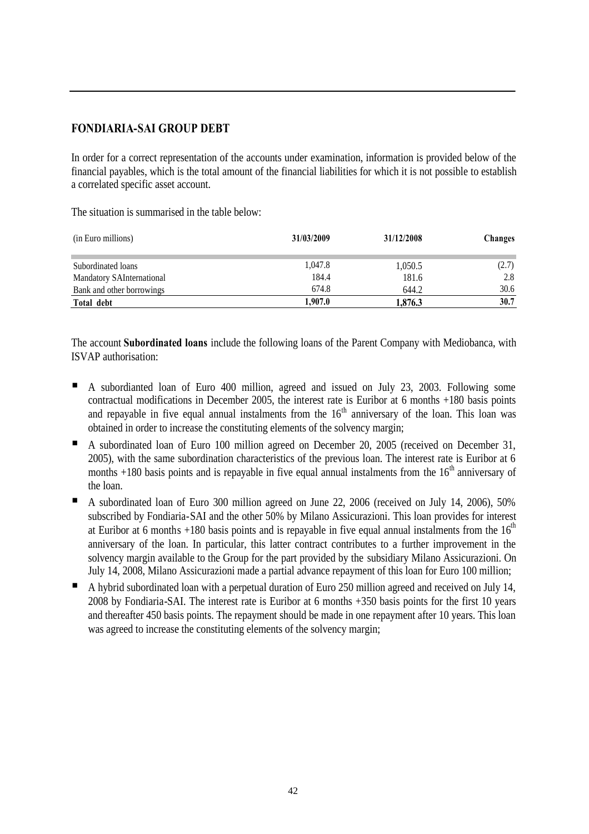## **FONDIARIA-SAI GROUP DEBT**

In order for a correct representation of the accounts under examination, information is provided below of the financial payables, which is the total amount of the financial liabilities for which it is not possible to establish a correlated specific asset account.

The situation is summarised in the table below:

| (in Euro millions)        | 31/03/2009 | 31/12/2008 | Changes |
|---------------------------|------------|------------|---------|
| Subordinated loans        | 1,047.8    | 1,050.5    | (2.7)   |
| Mandatory SAInternational | 184.4      | 181.6      | 2.8     |
| Bank and other borrowings | 674.8      | 644.2      | 30.6    |
| Total debt                | 1.907.0    | 1,876.3    | 30.7    |

The account **Subordinated loans** include the following loans of the Parent Company with Mediobanca, with ISVAP authorisation:

- A subordianted loan of Euro 400 million, agreed and issued on July 23, 2003. Following some contractual modifications in December 2005, the interest rate is Euribor at 6 months +180 basis points and repayable in five equal annual instalments from the  $16<sup>th</sup>$  anniversary of the loan. This loan was obtained in order to increase the constituting elements of the solvency margin;
- A subordinated loan of Euro 100 million agreed on December 20, 2005 (received on December 31, 2005), with the same subordination characteristics of the previous loan. The interest rate is Euribor at 6 months  $+180$  basis points and is repayable in five equal annual instalments from the  $16<sup>th</sup>$  anniversary of the loan.
- A subordinated loan of Euro 300 million agreed on June 22, 2006 (received on July 14, 2006), 50% subscribed by Fondiaria-SAI and the other 50% by Milano Assicurazioni. This loan provides for interest at Euribor at 6 months +180 basis points and is repayable in five equal annual instalments from the  $16<sup>th</sup>$ anniversary of the loan. In particular, this latter contract contributes to a further improvement in the solvency margin available to the Group for the part provided by the subsidiary Milano Assicurazioni. On July 14, 2008, Milano Assicurazioni made a partial advance repayment of this loan for Euro 100 million;
- A hybrid subordinated loan with a perpetual duration of Euro 250 million agreed and received on July 14, 2008 by Fondiaria-SAI. The interest rate is Euribor at 6 months +350 basis points for the first 10 years and thereafter 450 basis points. The repayment should be made in one repayment after 10 years. This loan was agreed to increase the constituting elements of the solvency margin;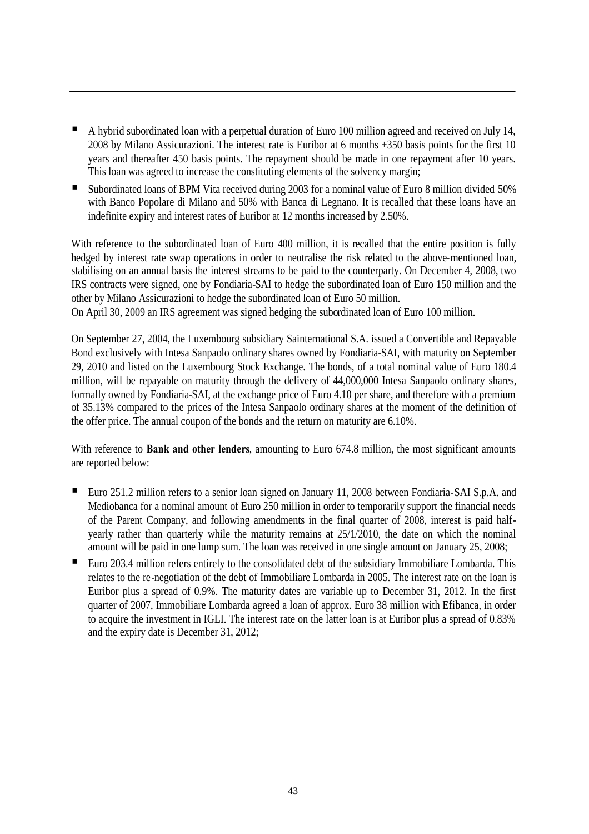- A hybrid subordinated loan with a perpetual duration of Euro 100 million agreed and received on July 14, 2008 by Milano Assicurazioni. The interest rate is Euribor at 6 months +350 basis points for the first 10 years and thereafter 450 basis points. The repayment should be made in one repayment after 10 years. This loan was agreed to increase the constituting elements of the solvency margin;
- Subordinated loans of BPM Vita received during 2003 for a nominal value of Euro 8 million divided 50% with Banco Popolare di Milano and 50% with Banca di Legnano. It is recalled that these loans have an indefinite expiry and interest rates of Euribor at 12 months increased by 2.50%.

With reference to the subordinated loan of Euro 400 million, it is recalled that the entire position is fully hedged by interest rate swap operations in order to neutralise the risk related to the above-mentioned loan, stabilising on an annual basis the interest streams to be paid to the counterparty. On December 4, 2008, two IRS contracts were signed, one by Fondiaria-SAI to hedge the subordinated loan of Euro 150 million and the other by Milano Assicurazioni to hedge the subordinated loan of Euro 50 million.

On April 30, 2009 an IRS agreement was signed hedging the subordinated loan of Euro 100 million.

On September 27, 2004, the Luxembourg subsidiary Sainternational S.A. issued a Convertible and Repayable Bond exclusively with Intesa Sanpaolo ordinary shares owned by Fondiaria-SAI, with maturity on September 29, 2010 and listed on the Luxembourg Stock Exchange. The bonds, of a total nominal value of Euro 180.4 million, will be repayable on maturity through the delivery of 44,000,000 Intesa Sanpaolo ordinary shares, formally owned by Fondiaria-SAI, at the exchange price of Euro 4.10 per share, and therefore with a premium of 35.13% compared to the prices of the Intesa Sanpaolo ordinary shares at the moment of the definition of the offer price. The annual coupon of the bonds and the return on maturity are 6.10%.

With reference to **Bank and other lenders**, amounting to Euro 674.8 million, the most significant amounts are reported below:

- Euro 251.2 million refers to a senior loan signed on January 11, 2008 between Fondiaria-SAI S.p.A. and Mediobanca for a nominal amount of Euro 250 million in order to temporarily support the financial needs of the Parent Company, and following amendments in the final quarter of 2008, interest is paid halfyearly rather than quarterly while the maturity remains at 25/1/2010, the date on which the nominal amount will be paid in one lump sum. The loan was received in one single amount on January 25, 2008;
- Euro 203.4 million refers entirely to the consolidated debt of the subsidiary Immobiliare Lombarda. This relates to the re-negotiation of the debt of Immobiliare Lombarda in 2005. The interest rate on the loan is Euribor plus a spread of 0.9%. The maturity dates are variable up to December 31, 2012. In the first quarter of 2007, Immobiliare Lombarda agreed a loan of approx. Euro 38 million with Efibanca, in order to acquire the investment in IGLI. The interest rate on the latter loan is at Euribor plus a spread of 0.83% and the expiry date is December 31, 2012;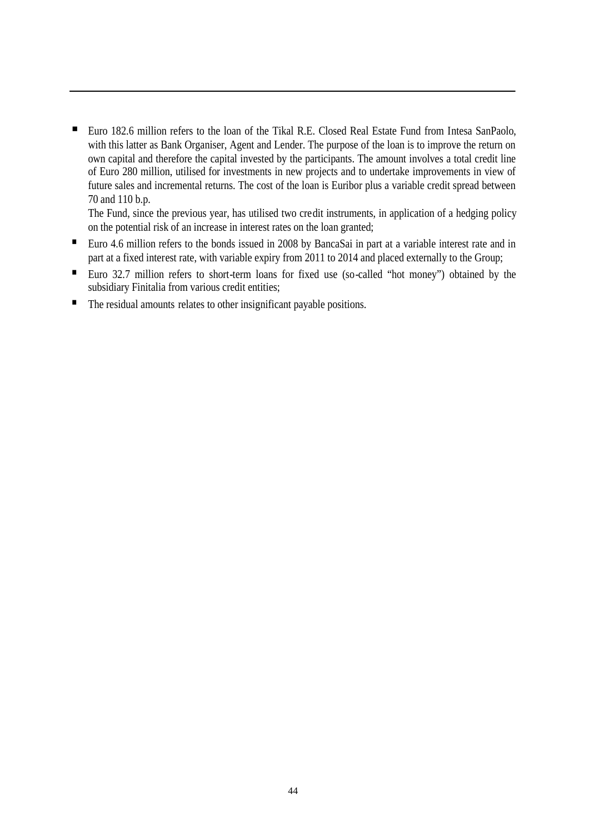■ Euro 182.6 million refers to the loan of the Tikal R.E. Closed Real Estate Fund from Intesa SanPaolo, with this latter as Bank Organiser, Agent and Lender. The purpose of the loan is to improve the return on own capital and therefore the capital invested by the participants. The amount involves a total credit line of Euro 280 million, utilised for investments in new projects and to undertake improvements in view of future sales and incremental returns. The cost of the loan is Euribor plus a variable credit spread between 70 and 110 b.p.

The Fund, since the previous year, has utilised two credit instruments, in application of a hedging policy on the potential risk of an increase in interest rates on the loan granted;

- Euro 4.6 million refers to the bonds issued in 2008 by BancaSai in part at a variable interest rate and in part at a fixed interest rate, with variable expiry from 2011 to 2014 and placed externally to the Group;
- Euro 32.7 million refers to short-term loans for fixed use (so-called "hot money") obtained by the subsidiary Finitalia from various credit entities;
- The residual amounts relates to other insignificant payable positions.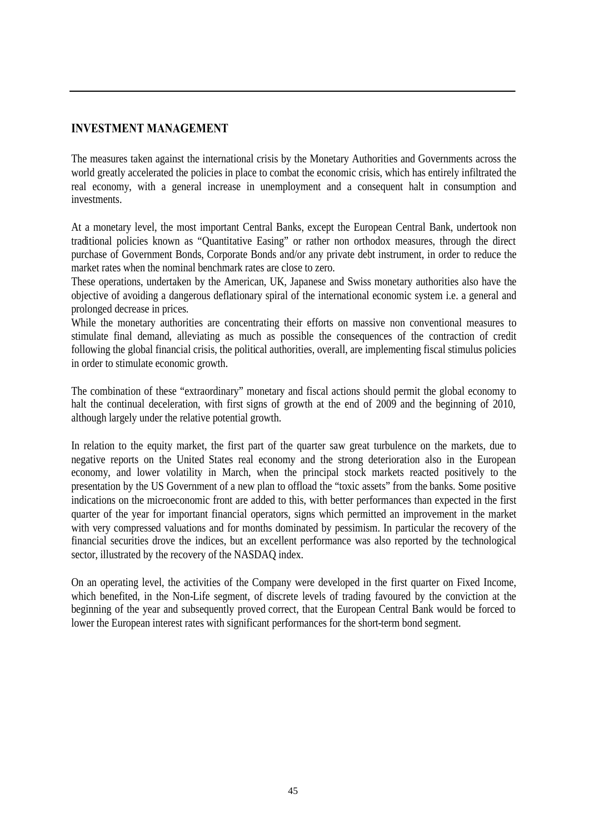## **INVESTMENT MANAGEMENT**

The measures taken against the international crisis by the Monetary Authorities and Governments across the world greatly accelerated the policies in place to combat the economic crisis, which has entirely infiltrated the real economy, with a general increase in unemployment and a consequent halt in consumption and investments.

At a monetary level, the most important Central Banks, except the European Central Bank, undertook non traditional policies known as "Quantitative Easing" or rather non orthodox measures, through the direct purchase of Government Bonds, Corporate Bonds and/or any private debt instrument, in order to reduce the market rates when the nominal benchmark rates are close to zero.

These operations, undertaken by the American, UK, Japanese and Swiss monetary authorities also have the objective of avoiding a dangerous deflationary spiral of the international economic system i.e. a general and prolonged decrease in prices.

While the monetary authorities are concentrating their efforts on massive non conventional measures to stimulate final demand, alleviating as much as possible the consequences of the contraction of credit following the global financial crisis, the political authorities, overall, are implementing fiscal stimulus policies in order to stimulate economic growth.

The combination of these "extraordinary" monetary and fiscal actions should permit the global economy to halt the continual deceleration, with first signs of growth at the end of 2009 and the beginning of 2010, although largely under the relative potential growth.

In relation to the equity market, the first part of the quarter saw great turbulence on the markets, due to negative reports on the United States real economy and the strong deterioration also in the European economy, and lower volatility in March, when the principal stock markets reacted positively to the presentation by the US Government of a new plan to offload the "toxic assets" from the banks. Some positive indications on the microeconomic front are added to this, with better performances than expected in the first quarter of the year for important financial operators, signs which permitted an improvement in the market with very compressed valuations and for months dominated by pessimism. In particular the recovery of the financial securities drove the indices, but an excellent performance was also reported by the technological sector, illustrated by the recovery of the NASDAQ index.

On an operating level, the activities of the Company were developed in the first quarter on Fixed Income, which benefited, in the Non-Life segment, of discrete levels of trading favoured by the conviction at the beginning of the year and subsequently proved correct, that the European Central Bank would be forced to lower the European interest rates with significant performances for the short-term bond segment.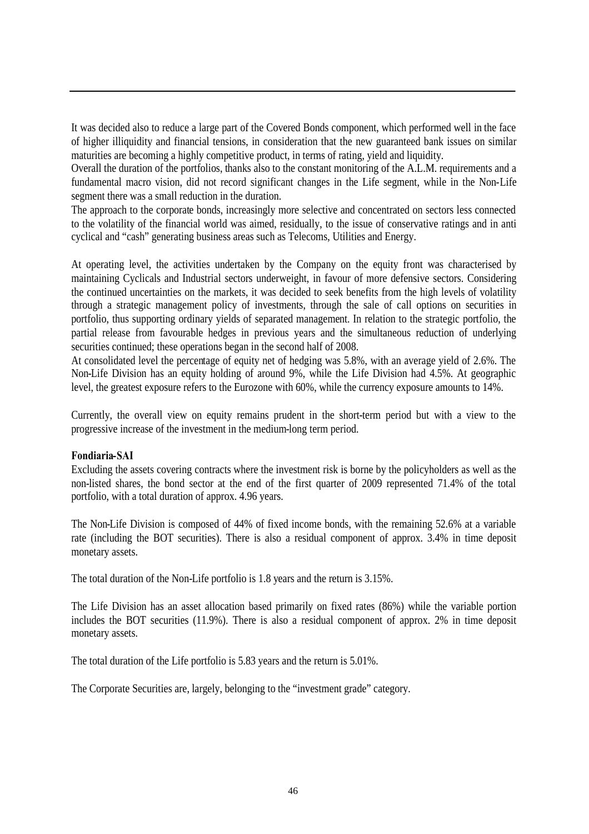It was decided also to reduce a large part of the Covered Bonds component, which performed well in the face of higher illiquidity and financial tensions, in consideration that the new guaranteed bank issues on similar maturities are becoming a highly competitive product, in terms of rating, yield and liquidity.

Overall the duration of the portfolios, thanks also to the constant monitoring of the A.L.M. requirements and a fundamental macro vision, did not record significant changes in the Life segment, while in the Non-Life segment there was a small reduction in the duration.

The approach to the corporate bonds, increasingly more selective and concentrated on sectors less connected to the volatility of the financial world was aimed, residually, to the issue of conservative ratings and in anti cyclical and "cash" generating business areas such as Telecoms, Utilities and Energy.

At operating level, the activities undertaken by the Company on the equity front was characterised by maintaining Cyclicals and Industrial sectors underweight, in favour of more defensive sectors. Considering the continued uncertainties on the markets, it was decided to seek benefits from the high levels of volatility through a strategic management policy of investments, through the sale of call options on securities in portfolio, thus supporting ordinary yields of separated management. In relation to the strategic portfolio, the partial release from favourable hedges in previous years and the simultaneous reduction of underlying securities continued; these operations began in the second half of 2008.

At consolidated level the percentage of equity net of hedging was 5.8%, with an average yield of 2.6%. The Non-Life Division has an equity holding of around 9%, while the Life Division had 4.5%. At geographic level, the greatest exposure refers to the Eurozone with 60%, while the currency exposure amounts to 14%.

Currently, the overall view on equity remains prudent in the short-term period but with a view to the progressive increase of the investment in the medium-long term period.

#### **Fondiaria-SAI**

Excluding the assets covering contracts where the investment risk is borne by the policyholders as well as the non-listed shares, the bond sector at the end of the first quarter of 2009 represented 71.4% of the total portfolio, with a total duration of approx. 4.96 years.

The Non-Life Division is composed of 44% of fixed income bonds, with the remaining 52.6% at a variable rate (including the BOT securities). There is also a residual component of approx. 3.4% in time deposit monetary assets.

The total duration of the Non-Life portfolio is 1.8 years and the return is 3.15%.

The Life Division has an asset allocation based primarily on fixed rates (86%) while the variable portion includes the BOT securities (11.9%). There is also a residual component of approx. 2% in time deposit monetary assets.

The total duration of the Life portfolio is 5.83 years and the return is 5.01%.

The Corporate Securities are, largely, belonging to the "investment grade" category.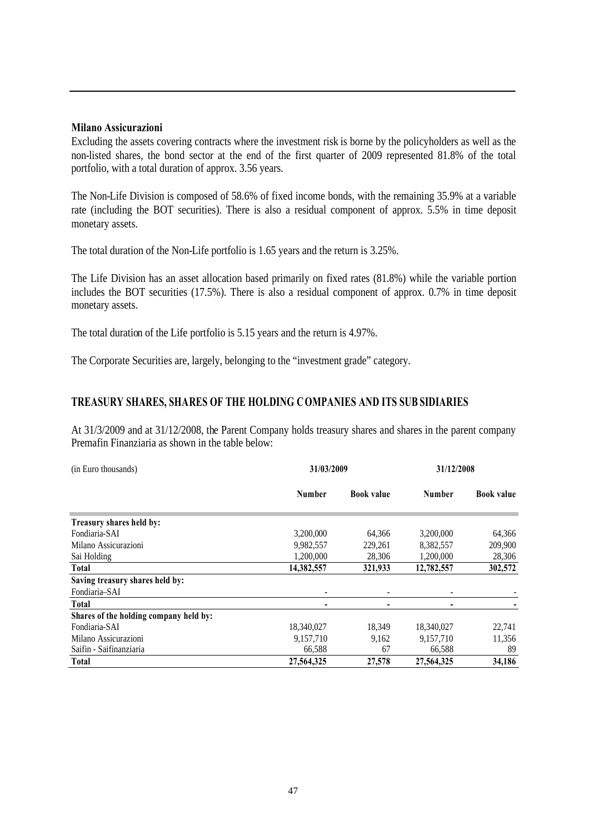#### **Milano Assicurazioni**

Excluding the assets covering contracts where the investment risk is borne by the policyholders as well as the non-listed shares, the bond sector at the end of the first quarter of 2009 represented 81.8% of the total portfolio, with a total duration of approx. 3.56 years.

The Non-Life Division is composed of 58.6% of fixed income bonds, with the remaining 35.9% at a variable rate (including the BOT securities). There is also a residual component of approx. 5.5% in time deposit monetary assets.

The total duration of the Non-Life portfolio is 1.65 years and the return is 3.25%.

The Life Division has an asset allocation based primarily on fixed rates (81.8%) while the variable portion includes the BOT securities (17.5%). There is also a residual component of approx. 0.7% in time deposit monetary assets.

The total duration of the Life portfolio is 5.15 years and the return is 4.97%.

The Corporate Securities are, largely, belonging to the "investment grade" category.

#### **TREASURY SHARES, SHARES OF THE HOLDING COMPANIES AND ITS SUB SIDIARIES**

At 31/3/2009 and at 31/12/2008, the Parent Company holds treasury shares and shares in the parent company Premafin Finanziaria as shown in the table below:

| (in Euro thousands)                    | 31/03/2009    | 31/12/2008        |               |                   |
|----------------------------------------|---------------|-------------------|---------------|-------------------|
|                                        | <b>Number</b> | <b>Book value</b> | <b>Number</b> | <b>Book value</b> |
| Treasury shares held by:               |               |                   |               |                   |
| Fondiaria-SAI                          | 3,200,000     | 64,366            | 3,200,000     | 64,366            |
| Milano Assicurazioni                   | 9,982,557     | 229.261           | 8,382,557     | 209,900           |
| Sai Holding                            | 1,200,000     | 28,306            | 1,200,000     | 28,306            |
| Total                                  | 14,382,557    | 321,933           | 12,782,557    | 302,572           |
| Saving treasury shares held by:        |               |                   |               |                   |
| Fondiaria–SAI                          |               |                   |               |                   |
| <b>Total</b>                           |               |                   |               |                   |
| Shares of the holding company held by: |               |                   |               |                   |
| Fondiaria-SAI                          | 18,340,027    | 18,349            | 18,340,027    | 22,741            |
| Milano Assicurazioni                   | 9.157.710     | 9,162             | 9,157,710     | 11,356            |
| Saifin - Saifinanziaria                | 66,588        | 67                | 66,588        | 89                |
| <b>Total</b>                           | 27,564,325    | 27,578            | 27,564,325    | 34,186            |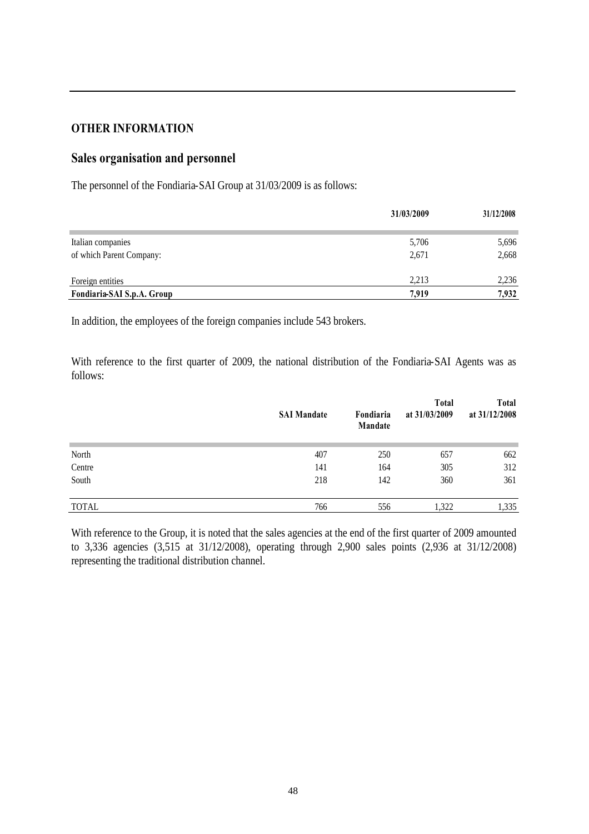## **OTHER INFORMATION**

# **Sales organisation and personnel**

The personnel of the Fondiaria-SAI Group at 31/03/2009 is as follows:

|                            | 31/03/2009 | 31/12/2008 |
|----------------------------|------------|------------|
| Italian companies          | 5,706      | 5,696      |
| of which Parent Company:   | 2,671      | 2,668      |
| Foreign entities           | 2.213      | 2,236      |
| Fondiaria-SAI S.p.A. Group | 7.919      | 7,932      |

In addition, the employees of the foreign companies include 543 brokers.

With reference to the first quarter of 2009, the national distribution of the Fondiaria-SAI Agents was as follows:

|              | <b>SAI Mandate</b> | Fondiaria<br>Mandate | <b>Total</b><br>at 31/03/2009 | <b>Total</b><br>at 31/12/2008 |
|--------------|--------------------|----------------------|-------------------------------|-------------------------------|
| North        | 407                | 250                  | 657                           | 662                           |
| Centre       | 141                | 164                  | 305                           | 312                           |
| South        | 218                | 142                  | 360                           | 361                           |
| <b>TOTAL</b> | 766                | 556                  | 1,322                         | 1,335                         |

With reference to the Group, it is noted that the sales agencies at the end of the first quarter of 2009 amounted to 3,336 agencies (3,515 at 31/12/2008), operating through 2,900 sales points (2,936 at 31/12/2008) representing the traditional distribution channel.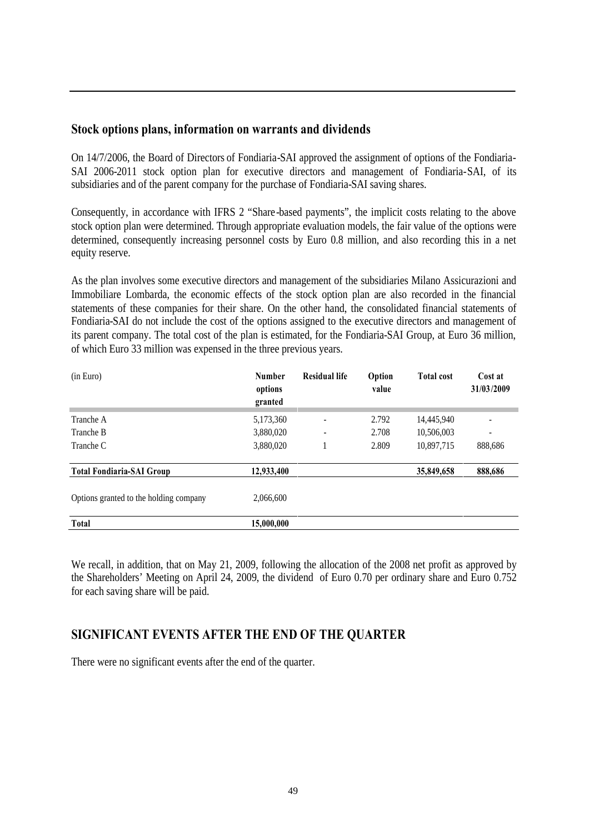#### **Stock options plans, information on warrants and dividends**

On 14/7/2006, the Board of Directors of Fondiaria-SAI approved the assignment of options of the Fondiaria-SAI 2006-2011 stock option plan for executive directors and management of Fondiaria-SAI, of its subsidiaries and of the parent company for the purchase of Fondiaria-SAI saving shares.

Consequently, in accordance with IFRS 2 "Share-based payments", the implicit costs relating to the above stock option plan were determined. Through appropriate evaluation models, the fair value of the options were determined, consequently increasing personnel costs by Euro 0.8 million, and also recording this in a net equity reserve.

As the plan involves some executive directors and management of the subsidiaries Milano Assicurazioni and Immobiliare Lombarda, the economic effects of the stock option plan are also recorded in the financial statements of these companies for their share. On the other hand, the consolidated financial statements of Fondiaria-SAI do not include the cost of the options assigned to the executive directors and management of its parent company. The total cost of the plan is estimated, for the Fondiaria-SAI Group, at Euro 36 million, of which Euro 33 million was expensed in the three previous years.

| (in Euro)                              | <b>Number</b><br>options<br>granted | <b>Residual life</b>     | Option<br>value | <b>Total cost</b> | Cost at<br>31/03/2009    |
|----------------------------------------|-------------------------------------|--------------------------|-----------------|-------------------|--------------------------|
| Tranche A                              | 5,173,360                           | ٠                        | 2.792           | 14,445,940        | $\overline{\phantom{a}}$ |
| Tranche B                              | 3,880,020                           | $\overline{\phantom{a}}$ | 2.708           | 10,506,003        | ٠                        |
| Tranche C                              | 3,880,020                           |                          | 2.809           | 10,897,715        | 888,686                  |
| <b>Total Fondiaria-SAI Group</b>       | 12,933,400                          |                          |                 | 35,849,658        | 888,686                  |
| Options granted to the holding company | 2,066,600                           |                          |                 |                   |                          |
| Total                                  | 15,000,000                          |                          |                 |                   |                          |

We recall, in addition, that on May 21, 2009, following the allocation of the 2008 net profit as approved by the Shareholders' Meeting on April 24, 2009, the dividend of Euro 0.70 per ordinary share and Euro 0.752 for each saving share will be paid.

# **SIGNIFICANT EVENTS AFTER THE END OF THE QUARTER**

There were no significant events after the end of the quarter.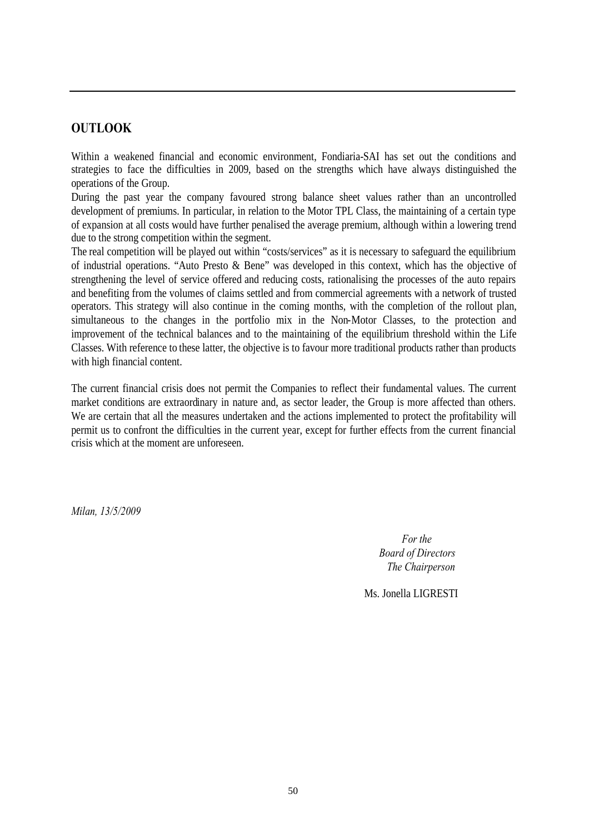# **OUTLOOK**

Within a weakened financial and economic environment, Fondiaria-SAI has set out the conditions and strategies to face the difficulties in 2009, based on the strengths which have always distinguished the operations of the Group.

During the past year the company favoured strong balance sheet values rather than an uncontrolled development of premiums. In particular, in relation to the Motor TPL Class, the maintaining of a certain type of expansion at all costs would have further penalised the average premium, although within a lowering trend due to the strong competition within the segment.

The real competition will be played out within "costs/services" as it is necessary to safeguard the equilibrium of industrial operations. "Auto Presto & Bene" was developed in this context, which has the objective of strengthening the level of service offered and reducing costs, rationalising the processes of the auto repairs and benefiting from the volumes of claims settled and from commercial agreements with a network of trusted operators. This strategy will also continue in the coming months, with the completion of the rollout plan, simultaneous to the changes in the portfolio mix in the Non-Motor Classes, to the protection and improvement of the technical balances and to the maintaining of the equilibrium threshold within the Life Classes. With reference to these latter, the objective is to favour more traditional products rather than products with high financial content.

The current financial crisis does not permit the Companies to reflect their fundamental values. The current market conditions are extraordinary in nature and, as sector leader, the Group is more affected than others. We are certain that all the measures undertaken and the actions implemented to protect the profitability will permit us to confront the difficulties in the current year, except for further effects from the current financial crisis which at the moment are unforeseen.

*Milan, 13/5/2009*

*For the Board of Directors The Chairperson*

Ms. Jonella LIGRESTI